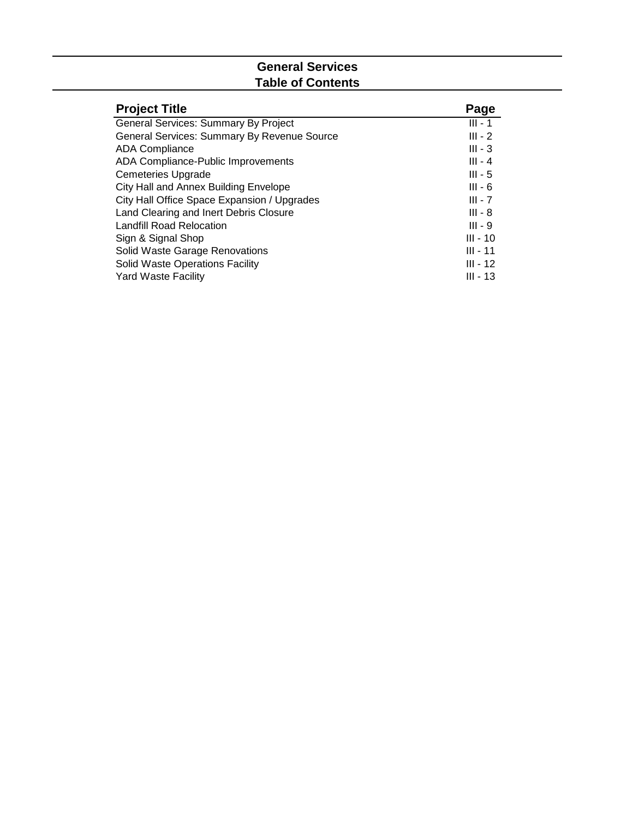## **General Services Table of Contents**

| <b>Project Title</b>                        | Page       |
|---------------------------------------------|------------|
| <b>General Services: Summary By Project</b> | $III - 1$  |
| General Services: Summary By Revenue Source | $III - 2$  |
| <b>ADA Compliance</b>                       | $III - 3$  |
| ADA Compliance-Public Improvements          | $III - 4$  |
| <b>Cemeteries Upgrade</b>                   | $III - 5$  |
| City Hall and Annex Building Envelope       | $III - 6$  |
| City Hall Office Space Expansion / Upgrades | $III - 7$  |
| Land Clearing and Inert Debris Closure      | $III - 8$  |
| Landfill Road Relocation                    | $III - 9$  |
| Sign & Signal Shop                          | $III - 10$ |
| Solid Waste Garage Renovations              | $III - 11$ |
| <b>Solid Waste Operations Facility</b>      | $III - 12$ |
| <b>Yard Waste Facility</b>                  | $III - 13$ |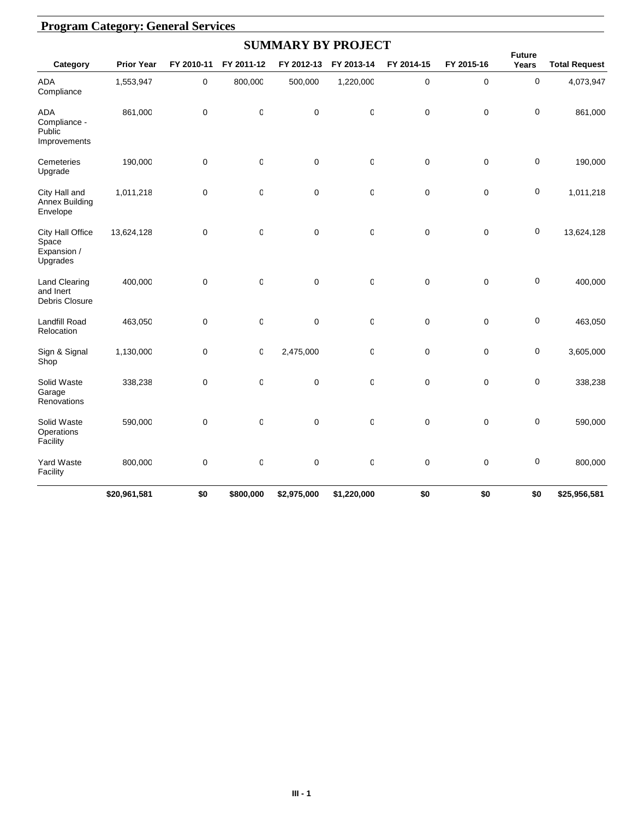|                                                      | <b>Program Category: General Services</b> |             |              |                           |             |             |             |                        |                      |  |  |  |  |
|------------------------------------------------------|-------------------------------------------|-------------|--------------|---------------------------|-------------|-------------|-------------|------------------------|----------------------|--|--|--|--|
|                                                      |                                           |             |              | <b>SUMMARY BY PROJECT</b> |             |             |             |                        |                      |  |  |  |  |
| Category                                             | <b>Prior Year</b>                         | FY 2010-11  | FY 2011-12   | FY 2012-13                | FY 2013-14  | FY 2014-15  | FY 2015-16  | <b>Future</b><br>Years | <b>Total Request</b> |  |  |  |  |
| ADA<br>Compliance                                    | 1,553,947                                 | 0           | 800,000      | 500,000                   | 1,220,000   | $\pmb{0}$   | $\pmb{0}$   | 0                      | 4,073,947            |  |  |  |  |
| <b>ADA</b><br>Compliance -<br>Public<br>Improvements | 861,000                                   | $\pmb{0}$   | $\mathbb{C}$ | $\pmb{0}$                 | $\mathbf 0$ | $\mathbf 0$ | $\mathbf 0$ | 0                      | 861,000              |  |  |  |  |
| Cemeteries<br>Upgrade                                | 190,000                                   | 0           | $\mathbb{C}$ | $\pmb{0}$                 | $\mathbf 0$ | $\mathbf 0$ | $\pmb{0}$   | 0                      | 190,000              |  |  |  |  |
| City Hall and<br>Annex Building<br>Envelope          | 1,011,218                                 | 0           | $\mathsf 0$  | $\mathbf 0$               | $\mathbf 0$ | $\mathbf 0$ | $\mathbf 0$ | 0                      | 1,011,218            |  |  |  |  |
| City Hall Office<br>Space<br>Expansion /<br>Upgrades | 13,624,128                                | $\mathbf 0$ | $\mathsf 0$  | $\mathbf 0$               | $\mathbf 0$ | $\mathbf 0$ | $\mathbf 0$ | 0                      | 13,624,128           |  |  |  |  |
| <b>Land Clearing</b><br>and Inert<br>Debris Closure  | 400,000                                   | $\pmb{0}$   | $\mathsf 0$  | $\mathbf 0$               | $\mathbf 0$ | $\mathbf 0$ | $\pmb{0}$   | 0                      | 400,000              |  |  |  |  |
| <b>Landfill Road</b><br>Relocation                   | 463,050                                   | $\mathbf 0$ | 0            | $\mathbf 0$               | 0           | $\mathbf 0$ | $\mathbf 0$ | 0                      | 463,050              |  |  |  |  |
| Sign & Signal<br>Shop                                | 1,130,000                                 | 0           | 0            | 2,475,000                 | 0           | $\mathbf 0$ | $\pmb{0}$   | 0                      | 3,605,000            |  |  |  |  |
| Solid Waste<br>Garage<br>Renovations                 | 338,238                                   | 0           | C            | $\mathbf 0$               | 0           | 0           | $\mathbf 0$ | 0                      | 338,238              |  |  |  |  |
| Solid Waste<br>Operations<br>Facility                | 590,000                                   | 0           | $\mathsf 0$  | $\mathbf 0$               | $\mathbf 0$ | $\mathbf 0$ | $\mathbf 0$ | 0                      | 590,000              |  |  |  |  |
| Yard Waste<br>Facility                               | 800,000                                   | $\pmb{0}$   | $\mathsf{C}$ | $\mathbf 0$               | $\mathbf 0$ | $\mathbf 0$ | $\mathbf 0$ | 0                      | 800,000              |  |  |  |  |
|                                                      | \$20,961,581                              | \$0         | \$800,000    | \$2,975,000               | \$1,220,000 | \$0         | \$0         | \$0                    | \$25,956,581         |  |  |  |  |

#### **III - 1**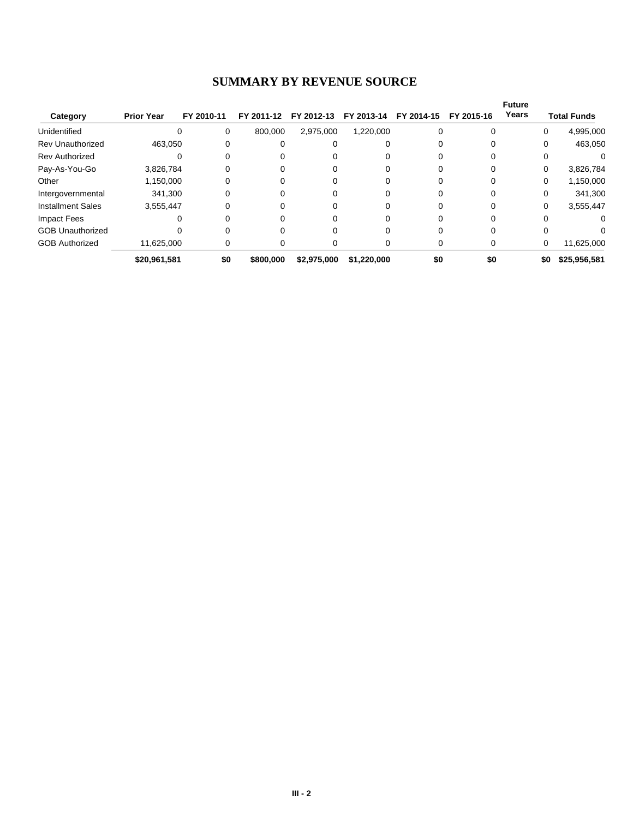# **SUMMARY BY REVENUE SOURCE**

|                          |                   |            |            |             |             |            |            | <b>Future</b> |          |                    |
|--------------------------|-------------------|------------|------------|-------------|-------------|------------|------------|---------------|----------|--------------------|
| Category                 | <b>Prior Year</b> | FY 2010-11 | FY 2011-12 | FY 2012-13  | FY 2013-14  | FY 2014-15 | FY 2015-16 | Years         |          | <b>Total Funds</b> |
| Unidentified             | 0                 | 0          | 800,000    | 2,975,000   | 1,220,000   |            |            |               | 0        | 4,995,000          |
| <b>Rev Unauthorized</b>  | 463,050           | 0          | 0          |             |             |            |            |               | 0        | 463,050            |
| <b>Rev Authorized</b>    |                   |            |            |             |             |            |            |               |          |                    |
| Pay-As-You-Go            | 3,826,784         |            |            |             |             |            |            |               | $\Omega$ | 3,826,784          |
| Other                    | 1,150,000         | 0          | 0          |             |             |            |            |               | $\Omega$ | 1,150,000          |
| Intergovernmental        | 341.300           | 0          | 0          |             | Ω           |            |            |               | $\Omega$ | 341,300            |
| <b>Installment Sales</b> | 3,555,447         | 0          | 0          |             |             |            |            |               | 0        | 3,555,447          |
| Impact Fees              |                   |            |            |             |             |            |            |               |          | 0                  |
| <b>GOB Unauthorized</b>  |                   |            |            |             |             |            |            |               |          |                    |
| <b>GOB Authorized</b>    | 11,625,000        | 0          | 0          |             | 0           |            | 0          |               | 0        | 11,625,000         |
|                          | \$20,961,581      | \$0        | \$800,000  | \$2.975.000 | \$1,220,000 | \$0        | \$0        |               | \$0      | \$25,956,581       |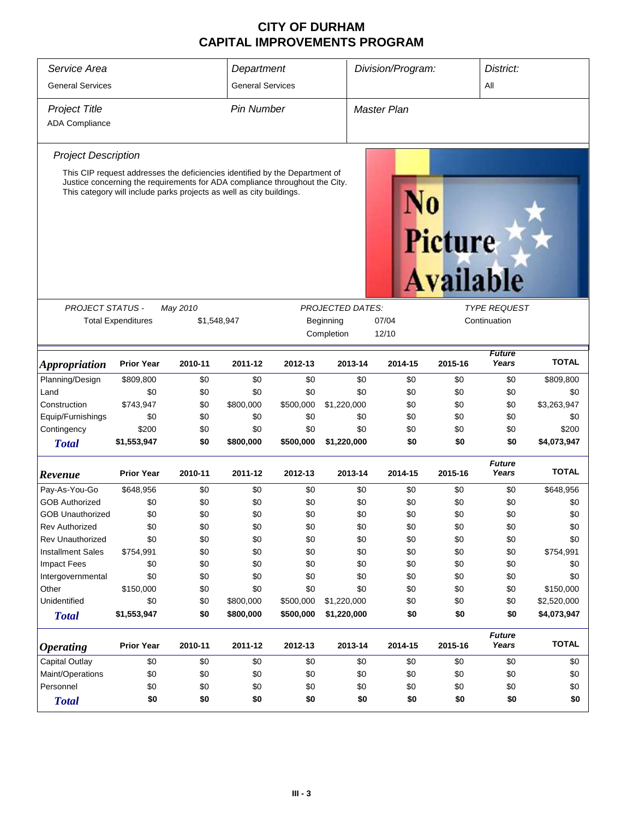| Service Area                                                                                                                                                                                                                                                             | Department                |                         |                   | Division/Program: |                         |                    | District: |         |                        |              |  |  |
|--------------------------------------------------------------------------------------------------------------------------------------------------------------------------------------------------------------------------------------------------------------------------|---------------------------|-------------------------|-------------------|-------------------|-------------------------|--------------------|-----------|---------|------------------------|--------------|--|--|
| <b>General Services</b>                                                                                                                                                                                                                                                  |                           | <b>General Services</b> |                   |                   | All                     |                    |           |         |                        |              |  |  |
| <b>Project Title</b>                                                                                                                                                                                                                                                     |                           |                         | <b>Pin Number</b> |                   |                         | <b>Master Plan</b> |           |         |                        |              |  |  |
| <b>ADA Compliance</b>                                                                                                                                                                                                                                                    |                           |                         |                   |                   |                         |                    |           |         |                        |              |  |  |
|                                                                                                                                                                                                                                                                          |                           |                         |                   |                   |                         |                    |           |         |                        |              |  |  |
| <b>Project Description</b>                                                                                                                                                                                                                                               |                           |                         |                   |                   |                         |                    |           |         |                        |              |  |  |
| This CIP request addresses the deficiencies identified by the Department of<br>Justice concerning the requirements for ADA compliance throughout the City.<br>This category will include parks projects as well as city buildings.<br><b>Picture</b><br><b>Available</b> |                           |                         |                   |                   |                         |                    |           |         |                        |              |  |  |
|                                                                                                                                                                                                                                                                          |                           |                         |                   |                   |                         |                    |           |         |                        |              |  |  |
| <b>PROJECT STATUS -</b>                                                                                                                                                                                                                                                  |                           | May 2010                |                   |                   | <b>PROJECTED DATES:</b> |                    |           |         | <b>TYPE REQUEST</b>    |              |  |  |
|                                                                                                                                                                                                                                                                          | <b>Total Expenditures</b> | \$1,548,947             |                   |                   | Beginning               | 07/04              |           |         | Continuation           |              |  |  |
|                                                                                                                                                                                                                                                                          |                           |                         |                   |                   | Completion              | 12/10              |           |         |                        |              |  |  |
| <i><b>Appropriation</b></i>                                                                                                                                                                                                                                              | <b>Prior Year</b>         | 2010-11                 | 2011-12           | 2012-13           | 2013-14                 |                    | 2014-15   | 2015-16 | <b>Future</b><br>Years | <b>TOTAL</b> |  |  |
| Planning/Design                                                                                                                                                                                                                                                          | \$809,800                 | \$0                     | \$0               | \$0               |                         | \$0                | \$0       | \$0     | \$0                    | \$809,800    |  |  |
| Land                                                                                                                                                                                                                                                                     | \$0                       | \$0                     | \$0               | \$0               |                         | \$0                | \$0       | \$0     | \$0                    | \$0          |  |  |
| Construction                                                                                                                                                                                                                                                             | \$743,947                 | \$0                     | \$800,000         | \$500,000         | \$1,220,000             |                    | \$0       | \$0     | \$0                    | \$3,263,947  |  |  |
| Equip/Furnishings                                                                                                                                                                                                                                                        | \$0                       | \$0                     | \$0               | \$0               |                         | \$0                | \$0       | \$0     | \$0                    | \$0          |  |  |
| Contingency                                                                                                                                                                                                                                                              | \$200                     | \$0                     | \$0               | \$0               |                         | \$0                | \$0       | \$0     | \$0                    | \$200        |  |  |
| <b>Total</b>                                                                                                                                                                                                                                                             | \$1,553,947               | \$0                     | \$800,000         | \$500,000         | \$1,220,000             |                    | \$0       | \$0     | \$0                    | \$4,073,947  |  |  |
| Revenue                                                                                                                                                                                                                                                                  | <b>Prior Year</b>         | 2010-11                 | 2011-12           | 2012-13           | 2013-14                 |                    | 2014-15   | 2015-16 | <b>Future</b><br>Years | <b>TOTAL</b> |  |  |
| Pay-As-You-Go                                                                                                                                                                                                                                                            | \$648,956                 | \$0                     | \$0               | \$0               |                         | \$0                | \$0       | \$0     | \$0                    | \$648,956    |  |  |
| <b>GOB Authorized</b>                                                                                                                                                                                                                                                    | \$0                       | \$0                     | \$0               | \$0               |                         | \$0                | \$0       | \$0     | \$0                    | \$0          |  |  |
| <b>GOB Unauthorized</b>                                                                                                                                                                                                                                                  | \$0                       | \$0                     | \$0               | \$0               |                         | \$0                | \$0       | \$0     | \$0                    | \$0          |  |  |
| <b>Rev Authorized</b>                                                                                                                                                                                                                                                    | \$0                       | \$0                     | \$0               | \$0               |                         | \$0                | \$0       | \$0     | \$0                    | \$0          |  |  |
| <b>Rev Unauthorized</b>                                                                                                                                                                                                                                                  | \$0                       | \$0                     | \$0               | \$0               |                         | \$0                | \$0       | \$0     | \$0                    | \$0          |  |  |
| <b>Installment Sales</b>                                                                                                                                                                                                                                                 | \$754,991                 | \$0                     | \$0               | \$0               |                         | \$0                | \$0       | \$0     | \$0                    | \$754,991    |  |  |
| <b>Impact Fees</b>                                                                                                                                                                                                                                                       | \$0                       | \$0                     | \$0               | \$0               |                         | \$0                | \$0       | \$0     | \$0                    | \$0          |  |  |
| Intergovernmental                                                                                                                                                                                                                                                        | \$0                       | \$0                     | \$0               | \$0               |                         | \$0                | \$0       | \$0     | \$0                    | \$0          |  |  |
| Other                                                                                                                                                                                                                                                                    | \$150,000                 | \$0                     | \$0               | \$0               |                         | \$0                | \$0       | \$0     | \$0                    | \$150,000    |  |  |
| Unidentified                                                                                                                                                                                                                                                             | \$0                       | \$0                     | \$800,000         | \$500,000         | \$1,220,000             |                    | \$0       | \$0     | \$0                    | \$2,520,000  |  |  |
| <b>Total</b>                                                                                                                                                                                                                                                             | \$1,553,947               | \$0                     | \$800,000         | \$500,000         | \$1,220,000             |                    | \$0       | \$0     | \$0                    | \$4,073,947  |  |  |
| <i><b>Operating</b></i>                                                                                                                                                                                                                                                  | <b>Prior Year</b>         | 2010-11                 | 2011-12           | 2012-13           | 2013-14                 |                    | 2014-15   | 2015-16 | <b>Future</b><br>Years | <b>TOTAL</b> |  |  |
| <b>Capital Outlay</b>                                                                                                                                                                                                                                                    | \$0                       | \$0                     | \$0               | \$0               |                         | \$0                | \$0       | \$0     | \$0                    | \$0          |  |  |
| Maint/Operations                                                                                                                                                                                                                                                         | \$0                       | \$0                     | \$0               | \$0               |                         | \$0                | \$0       | \$0     | \$0                    | \$0          |  |  |
| Personnel                                                                                                                                                                                                                                                                | \$0                       | \$0                     | \$0               | \$0               |                         | \$0                | \$0       | \$0     | \$0                    | \$0          |  |  |
| <b>Total</b>                                                                                                                                                                                                                                                             | \$0                       | \$0                     | \$0               | \$0               |                         | \$0                | \$0       | \$0     | \$0                    | \$0          |  |  |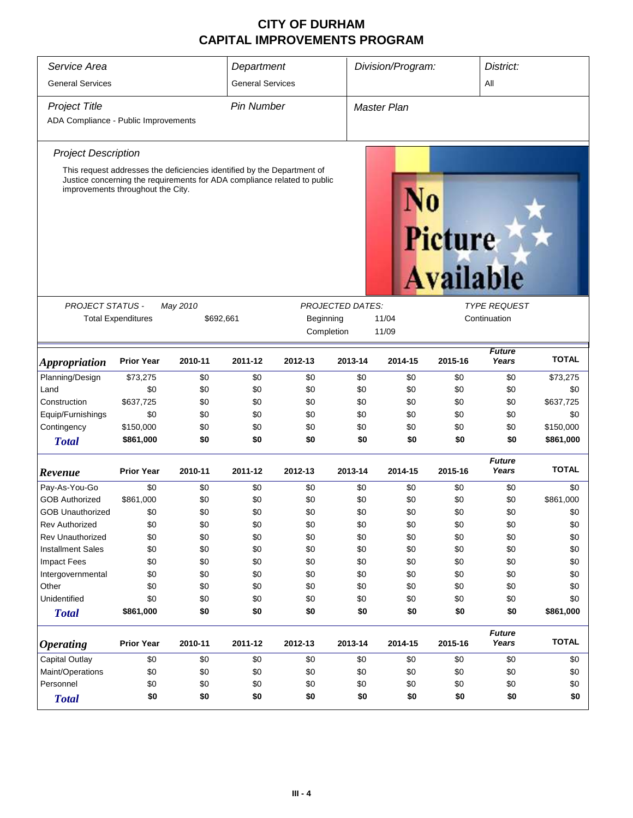| Service Area<br>Division/Program:<br>Department |                                                                                                                                                                                          |                                                            |                                                 |         |            |                    | District:                   |                        |              |  |  |
|-------------------------------------------------|------------------------------------------------------------------------------------------------------------------------------------------------------------------------------------------|------------------------------------------------------------|-------------------------------------------------|---------|------------|--------------------|-----------------------------|------------------------|--------------|--|--|
| <b>General Services</b>                         |                                                                                                                                                                                          |                                                            | <b>General Services</b>                         |         |            | All                |                             |                        |              |  |  |
| <b>Project Title</b>                            |                                                                                                                                                                                          |                                                            | <b>Pin Number</b>                               |         |            | <b>Master Plan</b> |                             |                        |              |  |  |
| ADA Compliance - Public Improvements            |                                                                                                                                                                                          |                                                            |                                                 |         |            |                    |                             |                        |              |  |  |
|                                                 |                                                                                                                                                                                          |                                                            |                                                 |         |            |                    |                             |                        |              |  |  |
| <b>Project Description</b>                      |                                                                                                                                                                                          |                                                            |                                                 |         |            |                    |                             |                        |              |  |  |
|                                                 | This request addresses the deficiencies identified by the Department of<br>Justice concerning the requirements for ADA compliance related to public<br>improvements throughout the City. |                                                            |                                                 |         |            |                    | Picture<br><b>Available</b> |                        |              |  |  |
| <b>PROJECT STATUS -</b>                         |                                                                                                                                                                                          | May 2010<br><b>PROJECTED DATES:</b><br><b>TYPE REQUEST</b> |                                                 |         |            |                    |                             |                        |              |  |  |
|                                                 | <b>Total Expenditures</b>                                                                                                                                                                |                                                            | \$692,661<br>Beginning<br>11/04<br>Continuation |         |            |                    |                             |                        |              |  |  |
|                                                 |                                                                                                                                                                                          |                                                            |                                                 |         | Completion | 11/09              |                             |                        |              |  |  |
| <i><b>Appropriation</b></i>                     | <b>Prior Year</b>                                                                                                                                                                        | 2010-11                                                    | 2011-12                                         | 2012-13 | 2013-14    | 2014-15            | 2015-16                     | <b>Future</b><br>Years | <b>TOTAL</b> |  |  |
| Planning/Design                                 | \$73,275                                                                                                                                                                                 | \$0                                                        | \$0                                             | \$0     | \$0        | \$0                | \$0                         | \$0                    | \$73,275     |  |  |
| Land                                            | \$0                                                                                                                                                                                      | \$0                                                        | \$0                                             | \$0     | \$0        | \$0                | \$0                         | \$0                    | \$0          |  |  |
| Construction                                    | \$637,725                                                                                                                                                                                | \$0                                                        | \$0                                             | \$0     | \$0        | \$0                | \$0                         | \$0                    | \$637,725    |  |  |
| Equip/Furnishings                               | \$0                                                                                                                                                                                      | \$0                                                        | \$0                                             | \$0     | \$0        | \$0                | \$0                         | \$0                    | \$0          |  |  |
| Contingency                                     | \$150,000                                                                                                                                                                                | \$0                                                        | \$0                                             | \$0     | \$0        | \$0                | \$0                         | \$0                    | \$150,000    |  |  |
| <b>Total</b>                                    | \$861,000                                                                                                                                                                                | \$0                                                        | \$0                                             | \$0     | \$0        | \$0                | \$0                         | \$0                    | \$861,000    |  |  |
| Revenue                                         | <b>Prior Year</b>                                                                                                                                                                        | 2010-11                                                    | 2011-12                                         | 2012-13 | 2013-14    | 2014-15            | 2015-16                     | <b>Future</b><br>Years | <b>TOTAL</b> |  |  |
| Pay-As-You-Go                                   | \$0                                                                                                                                                                                      | \$0                                                        | \$0                                             | \$0     | \$0        | \$0                | \$0                         | \$0                    | \$0          |  |  |
| <b>GOB Authorized</b>                           | \$861,000                                                                                                                                                                                | \$0                                                        | \$0                                             | \$0     | \$0        | \$0                | \$0                         | \$0                    | \$861,000    |  |  |
| <b>GOB Unauthorized</b>                         | \$0                                                                                                                                                                                      | \$0                                                        | \$0                                             | \$0     | \$0        | \$0                | \$0                         | \$0                    | \$0          |  |  |
| <b>Rev Authorized</b>                           | \$0                                                                                                                                                                                      | \$0                                                        | \$0                                             | \$0     | \$0        | \$0                | \$0                         | \$0                    | \$0          |  |  |
| Rev Unauthorized                                | \$0                                                                                                                                                                                      | \$0                                                        | \$0                                             | \$0     | \$0        | \$0                | \$0                         | \$0                    | \$0          |  |  |
| <b>Installment Sales</b>                        | \$0                                                                                                                                                                                      | \$0                                                        | \$0                                             | \$0     | \$0        | \$0                | \$0                         | \$0                    | \$0          |  |  |
| <b>Impact Fees</b>                              | \$0                                                                                                                                                                                      | \$0                                                        | \$0                                             | \$0     | \$0        | \$0                | \$0                         | \$0                    | \$0          |  |  |
| Intergovernmental                               | \$0                                                                                                                                                                                      | \$0                                                        | \$0                                             | \$0     | \$0        | \$0                | \$0                         | \$0                    | \$0          |  |  |
| Other                                           | \$0                                                                                                                                                                                      | \$0                                                        | \$0                                             | \$0     | \$0        | \$0                | \$0                         | \$0                    | \$0          |  |  |
| Unidentified                                    | \$0                                                                                                                                                                                      | \$0                                                        | \$0                                             | \$0     | \$0        | \$0                | \$0                         | \$0                    | \$0          |  |  |
| <b>Total</b>                                    | \$861,000                                                                                                                                                                                | \$0                                                        | \$0                                             | \$0     | \$0        | \$0                | \$0                         | \$0                    | \$861,000    |  |  |
| <b>Operating</b>                                | <b>Prior Year</b>                                                                                                                                                                        | 2010-11                                                    | 2011-12                                         | 2012-13 | 2013-14    | 2014-15            | 2015-16                     | <b>Future</b><br>Years | <b>TOTAL</b> |  |  |
| <b>Capital Outlay</b>                           | \$0                                                                                                                                                                                      | \$0                                                        | \$0                                             | \$0     | \$0        | \$0                | \$0                         | \$0                    | \$0          |  |  |
| Maint/Operations                                | \$0                                                                                                                                                                                      | \$0                                                        | \$0                                             | \$0     | \$0        | \$0                | \$0                         | \$0                    | \$0          |  |  |
| Personnel                                       | \$0                                                                                                                                                                                      | \$0                                                        | \$0                                             | \$0     | \$0        | \$0                | \$0                         | \$0                    | \$0          |  |  |
| <b>Total</b>                                    | \$0                                                                                                                                                                                      | \$0                                                        | \$0                                             | \$0     | \$0        | \$0                | \$0                         | \$0                    | \$0          |  |  |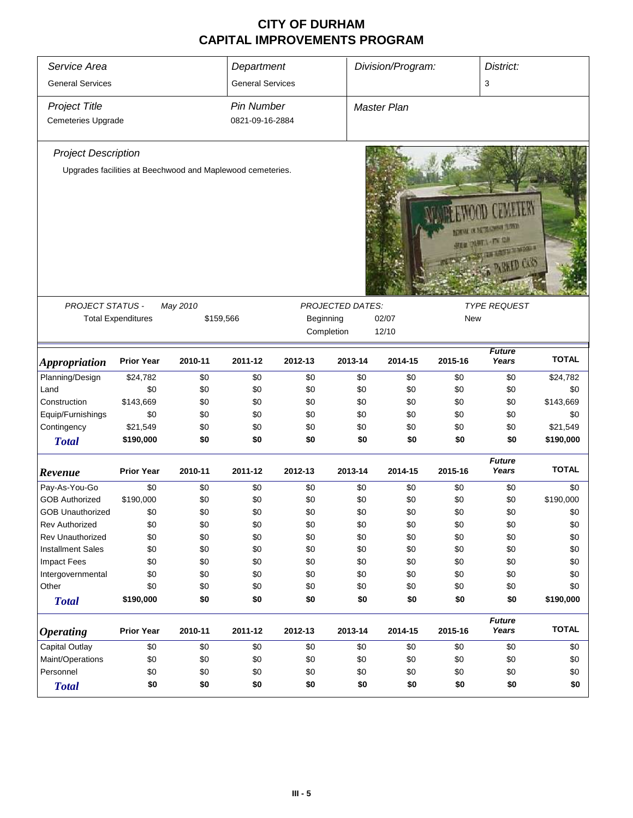| Service Area                               |                           |                                                            | Department                           |           |                         | Division/Program: |         | District:                                                                               |              |
|--------------------------------------------|---------------------------|------------------------------------------------------------|--------------------------------------|-----------|-------------------------|-------------------|---------|-----------------------------------------------------------------------------------------|--------------|
| <b>General Services</b>                    |                           |                                                            | <b>General Services</b>              |           |                         |                   |         | 3                                                                                       |              |
| <b>Project Title</b><br>Cemeteries Upgrade |                           |                                                            | <b>Pin Number</b><br>0821-09-16-2884 |           |                         | Master Plan       |         |                                                                                         |              |
| <b>Project Description</b>                 |                           |                                                            |                                      |           |                         |                   |         |                                                                                         |              |
|                                            |                           | Upgrades facilities at Beechwood and Maplewood cemeteries. |                                      |           |                         |                   |         | THE R. P. LEWIS CO., LANSING MICH.<br><b>DER DURTLINE CA</b><br>THE RESIST OF RESIST OF |              |
| PROJECT STATUS -                           |                           | May 2010                                                   |                                      |           | <b>PROJECTED DATES:</b> |                   |         | <b>TYPE REQUEST</b>                                                                     |              |
|                                            | <b>Total Expenditures</b> | \$159,566                                                  |                                      | Beginning |                         | 02/07             | New     |                                                                                         |              |
|                                            |                           |                                                            |                                      |           | Completion              | 12/10             |         |                                                                                         |              |
| <b>Appropriation</b>                       | <b>Prior Year</b>         | 2010-11                                                    | 2011-12                              | 2012-13   | 2013-14                 | 2014-15           | 2015-16 | <b>Future</b><br>Years                                                                  | <b>TOTAL</b> |
| Planning/Design                            | \$24,782                  | \$0                                                        | \$0                                  | $$0$$     | \$0                     | \$0               | \$0     | \$0                                                                                     | \$24,782     |
| Land                                       | \$0                       | \$0                                                        | \$0                                  | \$0       | \$0                     | \$0               | \$0     | \$0                                                                                     | \$0          |
| Construction                               | \$143,669                 | \$0                                                        | \$0                                  | \$0       | \$0                     | \$0               | \$0     | \$0                                                                                     | \$143,669    |
| Equip/Furnishings                          | \$0                       | \$0                                                        | \$0                                  | \$0       | \$0                     | \$0               | \$0     | \$0                                                                                     | \$0          |
| Contingency                                | \$21,549                  | \$0                                                        | \$0                                  | \$0       | \$0                     | \$0               | \$0     | \$0                                                                                     | \$21,549     |
| <b>Total</b>                               | \$190,000                 | \$0                                                        | \$0                                  | \$0       | \$0                     | \$0               | \$0     | \$0                                                                                     | \$190,000    |
| Revenue                                    | <b>Prior Year</b>         | 2010-11                                                    | 2011-12                              | 2012-13   | 2013-14                 | 2014-15           | 2015-16 | <b>Future</b><br>Years                                                                  | <b>TOTAL</b> |
| Pay-As-You-Go                              | \$0                       | \$0                                                        | \$0                                  | \$0       | \$0                     | \$0               | \$0     | \$0                                                                                     | \$0          |
| <b>GOB Authorized</b>                      | \$190,000                 | \$0                                                        | \$0                                  | \$0       | \$0                     | \$0               | \$0     | \$0                                                                                     | \$190,000    |
| <b>GOB Unauthorized</b>                    | \$0                       | \$0                                                        | \$0                                  | \$0       | \$0                     | \$0               | \$0     | \$0                                                                                     | \$0          |
| <b>Rev Authorized</b>                      | \$0                       | \$0                                                        | \$0                                  | \$0       | \$0                     | \$0               | \$0     | \$0                                                                                     | \$0          |
| <b>Rev Unauthorized</b>                    | \$0                       | \$0                                                        | \$0                                  | \$0       | \$0                     | \$0               | \$0     | \$0                                                                                     | \$0          |
| <b>Installment Sales</b>                   | \$0                       | \$0                                                        | \$0                                  | \$0       | \$0                     | \$0               | \$0     | \$0                                                                                     | \$0          |
| <b>Impact Fees</b>                         | \$0                       | \$0                                                        | \$0                                  | \$0       | \$0                     | \$0               | \$0     | \$0                                                                                     | \$0          |
| Intergovernmental                          | \$0                       | \$0                                                        | \$0                                  | \$0       | \$0                     | \$0               | \$0     | \$0                                                                                     | \$0          |
| Other                                      | \$0                       | \$0                                                        | \$0                                  | \$0       | \$0                     | \$0               | \$0     | \$0                                                                                     | \$0          |
| <b>Total</b>                               | \$190,000                 | \$0                                                        | \$0                                  | \$0       | \$0                     | \$0               | \$0     | \$0                                                                                     | \$190,000    |
| <b>Operating</b>                           | <b>Prior Year</b>         | 2010-11                                                    | 2011-12                              | 2012-13   | 2013-14                 | 2014-15           | 2015-16 | <b>Future</b><br>Years                                                                  | <b>TOTAL</b> |
| Capital Outlay                             | \$0                       | \$0                                                        | \$0                                  | \$0       | \$0                     | \$0               | \$0     | \$0                                                                                     | \$0          |
| Maint/Operations                           | \$0                       | \$0                                                        | \$0                                  | \$0       | \$0                     | \$0               | \$0     | \$0                                                                                     | \$0          |
| Personnel                                  | \$0                       | \$0                                                        | \$0                                  | \$0       | \$0                     | \$0               | \$0     | \$0                                                                                     | \$0          |
| <b>Total</b>                               | \$0                       | \$0                                                        | \$0                                  | \$0       | \$0                     | \$0               | \$0     | \$0                                                                                     | \$0          |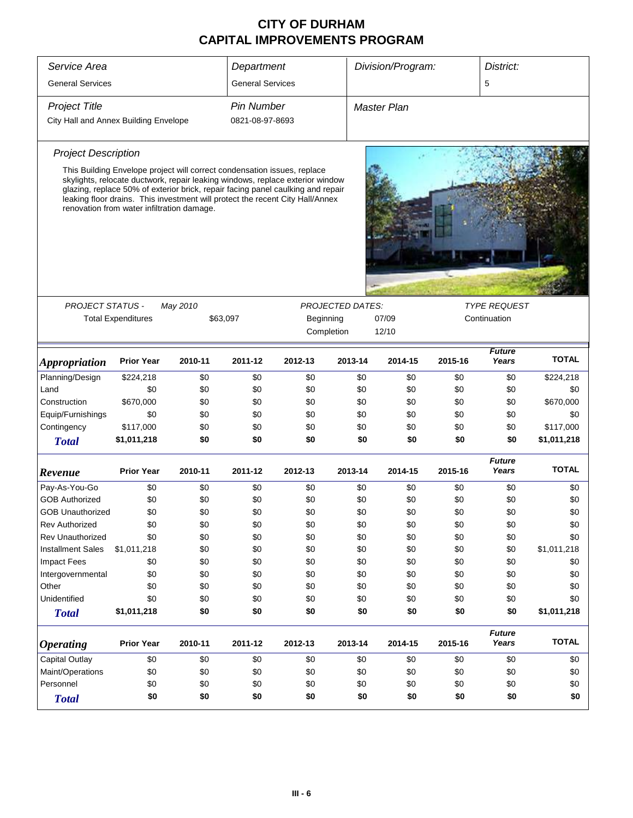| Service Area                          |                                                                                                                                                                                                                                                                                                                                                                             |          | Department              | Division/Program:                  |                         |                    |         | District:              |              |  |
|---------------------------------------|-----------------------------------------------------------------------------------------------------------------------------------------------------------------------------------------------------------------------------------------------------------------------------------------------------------------------------------------------------------------------------|----------|-------------------------|------------------------------------|-------------------------|--------------------|---------|------------------------|--------------|--|
| <b>General Services</b>               |                                                                                                                                                                                                                                                                                                                                                                             |          | <b>General Services</b> |                                    |                         |                    |         | 5                      |              |  |
| <b>Project Title</b>                  |                                                                                                                                                                                                                                                                                                                                                                             |          | <b>Pin Number</b>       |                                    |                         | <b>Master Plan</b> |         |                        |              |  |
| City Hall and Annex Building Envelope |                                                                                                                                                                                                                                                                                                                                                                             |          | 0821-08-97-8693         |                                    |                         |                    |         |                        |              |  |
| <b>Project Description</b>            |                                                                                                                                                                                                                                                                                                                                                                             |          |                         |                                    |                         |                    |         |                        |              |  |
|                                       | This Building Envelope project will correct condensation issues, replace<br>skylights, relocate ductwork, repair leaking windows, replace exterior window<br>glazing, replace 50% of exterior brick, repair facing panel caulking and repair<br>leaking floor drains. This investment will protect the recent City Hall/Annex<br>renovation from water infiltration damage. |          |                         |                                    |                         |                    |         |                        |              |  |
|                                       |                                                                                                                                                                                                                                                                                                                                                                             |          |                         |                                    |                         |                    |         |                        |              |  |
| <b>PROJECT STATUS -</b>               |                                                                                                                                                                                                                                                                                                                                                                             | May 2010 |                         |                                    | <b>PROJECTED DATES:</b> |                    |         | <b>TYPE REQUEST</b>    |              |  |
|                                       | <b>Total Expenditures</b>                                                                                                                                                                                                                                                                                                                                                   |          | \$63,097                | Beginning<br>07/09<br>Continuation |                         |                    |         |                        |              |  |
|                                       |                                                                                                                                                                                                                                                                                                                                                                             |          |                         |                                    | Completion              | 12/10              |         |                        |              |  |
|                                       |                                                                                                                                                                                                                                                                                                                                                                             |          |                         |                                    |                         |                    |         | <b>Future</b>          |              |  |
| <i><b>Appropriation</b></i>           | <b>Prior Year</b>                                                                                                                                                                                                                                                                                                                                                           | 2010-11  | 2011-12                 | 2012-13                            | 2013-14                 | 2014-15            | 2015-16 | Years                  | <b>TOTAL</b> |  |
| Planning/Design                       | \$224,218                                                                                                                                                                                                                                                                                                                                                                   | \$0      | \$0                     | \$0                                | \$0                     | \$0                | \$0     | \$0                    | \$224,218    |  |
| Land                                  | \$0                                                                                                                                                                                                                                                                                                                                                                         | \$0      | \$0                     | \$0                                | \$0                     | \$0                | \$0     | \$0                    | \$0          |  |
| Construction                          | \$670,000                                                                                                                                                                                                                                                                                                                                                                   | \$0      | \$0                     | \$0                                | \$0                     | \$0                | \$0     | \$0                    | \$670,000    |  |
| Equip/Furnishings                     | \$0                                                                                                                                                                                                                                                                                                                                                                         | \$0      | \$0                     | \$0                                | \$0                     | \$0                | \$0     | \$0                    | \$0          |  |
| Contingency                           | \$117,000                                                                                                                                                                                                                                                                                                                                                                   | \$0      | \$0                     | \$0                                | \$0                     | \$0                | \$0     | \$0                    | \$117,000    |  |
| <b>Total</b>                          | \$1,011,218                                                                                                                                                                                                                                                                                                                                                                 | \$0      | \$0                     | \$0                                | \$0                     | \$0                | \$0     | \$0                    | \$1,011,218  |  |
| Revenue                               | <b>Prior Year</b>                                                                                                                                                                                                                                                                                                                                                           | 2010-11  | 2011-12                 | 2012-13                            | 2013-14                 | 2014-15            | 2015-16 | <b>Future</b><br>Years | <b>TOTAL</b> |  |
| Pay-As-You-Go                         | \$0                                                                                                                                                                                                                                                                                                                                                                         | \$0      | \$0                     | \$0                                | \$0                     | \$0                | \$0     | \$0                    | \$0          |  |
| <b>GOB Authorized</b>                 | \$0                                                                                                                                                                                                                                                                                                                                                                         | \$0      | \$0                     | \$0                                | \$0                     | \$0                | \$0     | \$0                    | \$0          |  |
| <b>GOB Unauthorized</b>               | \$0                                                                                                                                                                                                                                                                                                                                                                         | \$0      | \$0                     | \$0                                | \$0                     | \$0                | \$0     | \$0                    | \$0          |  |
| <b>Rev Authorized</b>                 | \$0                                                                                                                                                                                                                                                                                                                                                                         | \$0      | \$0                     | \$0                                | \$0                     | \$0                | \$0     | \$0                    | \$0          |  |
| <b>Rev Unauthorized</b>               | \$0                                                                                                                                                                                                                                                                                                                                                                         | \$0      | \$0                     | \$0                                | \$0                     | \$0                | \$0     | \$0                    | \$0          |  |
| <b>Installment Sales</b>              | \$1,011,218                                                                                                                                                                                                                                                                                                                                                                 | \$0      | \$0                     | \$0                                | \$0                     | \$0                | \$0     | \$0                    | \$1,011,218  |  |
| <b>Impact Fees</b>                    | \$0                                                                                                                                                                                                                                                                                                                                                                         | \$0      | \$0                     | \$0                                | \$0                     | \$0                | \$0     | \$0                    | \$0          |  |
| Intergovernmental                     | \$0                                                                                                                                                                                                                                                                                                                                                                         | \$0      | \$0                     | \$0                                | \$0                     | \$0                | \$0     | \$0                    | \$0          |  |
| Other                                 | \$0                                                                                                                                                                                                                                                                                                                                                                         | \$0      | \$0                     | \$0                                | \$0                     | \$0                | \$0     | \$0                    | \$0          |  |
| Unidentified                          | \$0                                                                                                                                                                                                                                                                                                                                                                         | \$0      | \$0                     | \$0                                | \$0                     | \$0                | \$0     | \$0                    | \$0          |  |
| <b>Total</b>                          | \$1,011,218                                                                                                                                                                                                                                                                                                                                                                 | \$0      | \$0                     | \$0                                | \$0                     | \$0                | \$0     | \$0                    | \$1,011,218  |  |
| <b>Operating</b>                      | <b>Prior Year</b>                                                                                                                                                                                                                                                                                                                                                           | 2010-11  | 2011-12                 | 2012-13                            | 2013-14                 | 2014-15            | 2015-16 | <b>Future</b><br>Years | <b>TOTAL</b> |  |
| Capital Outlay                        | \$0                                                                                                                                                                                                                                                                                                                                                                         | \$0      | \$0                     | \$0                                | \$0                     | \$0                | \$0     | \$0                    | \$0          |  |
| Maint/Operations                      | \$0                                                                                                                                                                                                                                                                                                                                                                         | \$0      | \$0                     | \$0                                | \$0                     | \$0                | \$0     | \$0                    | \$0          |  |
| Personnel                             | \$0                                                                                                                                                                                                                                                                                                                                                                         | \$0      | \$0                     | \$0                                | \$0                     | \$0                | \$0     | \$0                    | \$0          |  |
| <b>Total</b>                          | \$0                                                                                                                                                                                                                                                                                                                                                                         | \$0      | \$0                     | \$0                                | \$0                     | \$0                | \$0     | \$0                    | \$0          |  |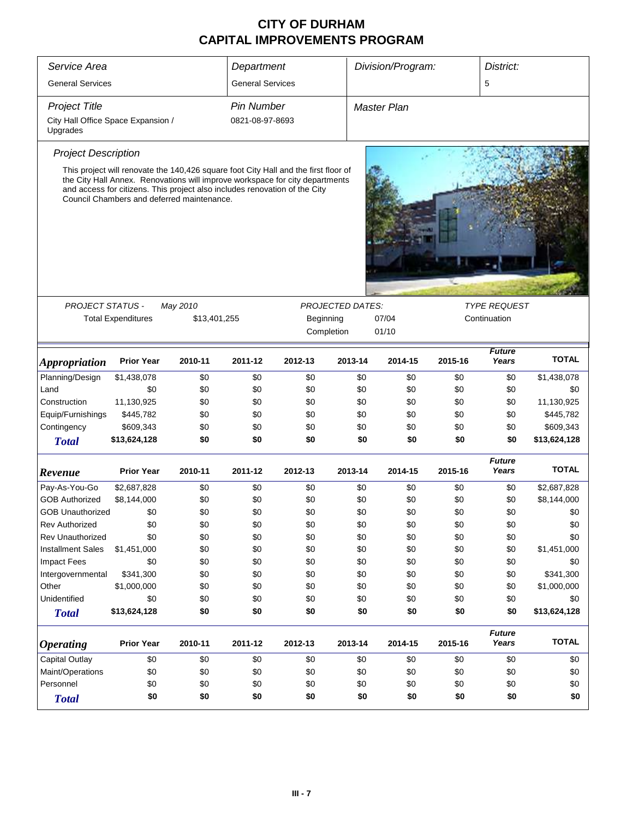| Service Area                                   |                                                                                                                                                                                                                                                                                                 |              | Department              |           | Division/Program:<br>District: |                    |         |                        |              |  |
|------------------------------------------------|-------------------------------------------------------------------------------------------------------------------------------------------------------------------------------------------------------------------------------------------------------------------------------------------------|--------------|-------------------------|-----------|--------------------------------|--------------------|---------|------------------------|--------------|--|
| <b>General Services</b>                        |                                                                                                                                                                                                                                                                                                 |              | <b>General Services</b> |           |                                |                    |         | 5                      |              |  |
| <b>Project Title</b>                           |                                                                                                                                                                                                                                                                                                 |              | <b>Pin Number</b>       |           |                                | <b>Master Plan</b> |         |                        |              |  |
| City Hall Office Space Expansion /<br>Upgrades |                                                                                                                                                                                                                                                                                                 |              | 0821-08-97-8693         |           |                                |                    |         |                        |              |  |
| <b>Project Description</b>                     |                                                                                                                                                                                                                                                                                                 |              |                         |           |                                |                    |         |                        |              |  |
|                                                | This project will renovate the 140,426 square foot City Hall and the first floor of<br>the City Hall Annex. Renovations will improve workspace for city departments<br>and access for citizens. This project also includes renovation of the City<br>Council Chambers and deferred maintenance. |              |                         |           |                                |                    |         |                        |              |  |
|                                                |                                                                                                                                                                                                                                                                                                 |              |                         |           |                                |                    |         |                        |              |  |
| <b>PROJECT STATUS -</b>                        |                                                                                                                                                                                                                                                                                                 | May 2010     |                         |           | <b>PROJECTED DATES:</b>        |                    |         | <b>TYPE REQUEST</b>    |              |  |
|                                                | <b>Total Expenditures</b>                                                                                                                                                                                                                                                                       | \$13,401,255 |                         | Beginning |                                | 07/04              |         | Continuation           |              |  |
|                                                |                                                                                                                                                                                                                                                                                                 |              |                         |           | Completion                     | 01/10              |         |                        |              |  |
| <i><b>Appropriation</b></i>                    | <b>Prior Year</b>                                                                                                                                                                                                                                                                               | 2010-11      | 2011-12                 | 2012-13   | 2013-14                        | 2014-15            | 2015-16 | <b>Future</b><br>Years | <b>TOTAL</b> |  |
| Planning/Design                                | \$1,438,078                                                                                                                                                                                                                                                                                     | \$0          | \$0                     | \$0       | \$0                            | \$0                | \$0     | \$0                    |              |  |
| Land                                           |                                                                                                                                                                                                                                                                                                 |              |                         |           |                                |                    |         |                        | \$1,438,078  |  |
|                                                | \$0                                                                                                                                                                                                                                                                                             | \$0          | \$0                     | \$0       | \$0                            | \$0                | \$0     | \$0                    | \$0          |  |
| Construction                                   | 11,130,925                                                                                                                                                                                                                                                                                      | \$0          | \$0                     | \$0       | \$0                            | \$0                | \$0     | \$0                    | 11,130,925   |  |
| Equip/Furnishings                              | \$445,782                                                                                                                                                                                                                                                                                       | \$0          | \$0                     | \$0       | \$0                            | \$0                | \$0     | \$0                    | \$445,782    |  |
| Contingency                                    | \$609,343                                                                                                                                                                                                                                                                                       | \$0          | \$0                     | \$0       |                                | \$0<br>\$0         | \$0     | \$0                    | \$609,343    |  |
| <b>Total</b>                                   | \$13,624,128                                                                                                                                                                                                                                                                                    | \$0          | \$0                     | \$0       |                                | \$0<br>\$0         | \$0     | \$0                    | \$13,624,128 |  |
| Revenue                                        | <b>Prior Year</b>                                                                                                                                                                                                                                                                               | 2010-11      | 2011-12                 | 2012-13   | 2013-14                        | 2014-15            | 2015-16 | <b>Future</b><br>Years | <b>TOTAL</b> |  |
| Pay-As-You-Go                                  | \$2,687,828                                                                                                                                                                                                                                                                                     | \$0          | \$0                     | \$0       | \$0                            | \$0                | \$0     | \$0                    | \$2,687,828  |  |
| <b>GOB Authorized</b>                          | \$8,144,000                                                                                                                                                                                                                                                                                     | \$0          | \$0                     | \$0       | \$0                            | \$0                | \$0     | \$0                    | \$8,144,000  |  |
| <b>GOB Unauthorized</b>                        | \$0                                                                                                                                                                                                                                                                                             | \$0          | \$0                     | \$0       |                                | \$0<br>\$0         | \$0     | \$0                    | \$0          |  |
| <b>Rev Authorized</b>                          | \$0                                                                                                                                                                                                                                                                                             | \$0          | \$0                     | \$0       | \$0                            | \$0                | \$0     | \$0                    | \$0          |  |
| <b>Rev Unauthorized</b>                        | \$0                                                                                                                                                                                                                                                                                             | \$0          | \$0                     | \$0       | \$0                            | \$0                | \$0     | \$0                    | \$0          |  |
| <b>Installment Sales</b>                       | \$1,451,000                                                                                                                                                                                                                                                                                     | \$0          | \$0                     | \$0       | \$0                            | \$0                | \$0     | \$0                    | \$1,451,000  |  |
| <b>Impact Fees</b>                             | \$0                                                                                                                                                                                                                                                                                             | \$0          | \$0                     | \$0       | \$0                            | \$0                | \$0     | \$0                    | \$0          |  |
| Intergovernmental                              | \$341,300                                                                                                                                                                                                                                                                                       | \$0          | \$0                     | \$0       | \$0                            | \$0                | \$0     | \$0                    | \$341,300    |  |
| Other                                          | \$1,000,000                                                                                                                                                                                                                                                                                     | \$0          | \$0                     | \$0       | \$0                            | \$0                | \$0     | \$0                    | \$1,000,000  |  |
| Unidentified                                   | \$0                                                                                                                                                                                                                                                                                             | \$0          | \$0                     | \$0       |                                | \$0<br>\$0         | \$0     | \$0                    | \$0          |  |
| <b>Total</b>                                   | \$13,624,128                                                                                                                                                                                                                                                                                    | \$0          | \$0                     | \$0       |                                | \$0<br>\$0         | \$0     | \$0                    | \$13,624,128 |  |
| <b>Operating</b>                               | <b>Prior Year</b>                                                                                                                                                                                                                                                                               | 2010-11      | 2011-12                 | 2012-13   | 2013-14                        | 2014-15            | 2015-16 | <b>Future</b><br>Years | <b>TOTAL</b> |  |
| Capital Outlay                                 | \$0                                                                                                                                                                                                                                                                                             | \$0          | \$0                     | \$0       | \$0                            | \$0                | \$0     | \$0                    | \$0          |  |
| Maint/Operations                               | \$0                                                                                                                                                                                                                                                                                             | \$0          | \$0                     | \$0       |                                | \$0<br>\$0         | \$0     | \$0                    | \$0          |  |
| Personnel                                      | \$0                                                                                                                                                                                                                                                                                             | \$0          | \$0                     | \$0       |                                | \$0<br>\$0         | \$0     | \$0                    | \$0          |  |
|                                                | \$0                                                                                                                                                                                                                                                                                             | \$0          | \$0                     | \$0       |                                | \$0<br>\$0         | \$0     | \$0                    | \$0          |  |
| <b>Total</b>                                   |                                                                                                                                                                                                                                                                                                 |              |                         |           |                                |                    |         |                        |              |  |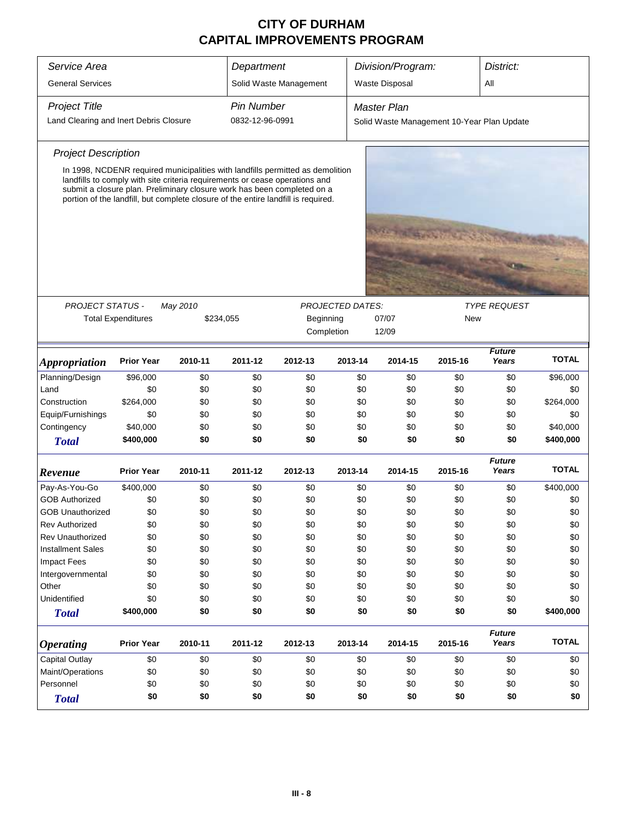| Division/Program:<br>Service Area<br>Department<br>District:<br><b>General Services</b><br>Solid Waste Management<br>Waste Disposal<br>All<br><b>Project Title</b><br><b>Pin Number</b><br>Master Plan<br>Land Clearing and Inert Debris Closure<br>0832-12-96-0991<br>Solid Waste Management 10-Year Plan Update<br><b>Project Description</b><br>In 1998, NCDENR required municipalities with landfills permitted as demolition<br>landfills to comply with site criteria requirements or cease operations and<br>submit a closure plan. Preliminary closure work has been completed on a<br>portion of the landfill, but complete closure of the entire landfill is required.<br><b>PROJECT STATUS -</b><br>May 2010<br><b>PROJECTED DATES:</b><br><b>TYPE REQUEST</b><br><b>Total Expenditures</b><br>07/07<br>\$234,055<br>Beginning<br>New<br>12/09<br>Completion<br><b>Future</b><br><b>TOTAL</b><br>Years<br><b>Prior Year</b><br>2011-12<br>2012-13<br>2013-14<br>2014-15<br>2015-16<br>2010-11<br><i><b>Appropriation</b></i><br>Planning/Design<br>\$96,000<br>\$0<br>\$0<br>\$0<br>\$0<br>\$0<br>\$0<br>\$0<br>\$96,000<br>Land<br>\$0<br>\$0<br>\$0<br>\$0<br>\$0<br>\$0<br>\$0<br>\$0<br>\$0<br>Construction<br>\$264,000<br>\$0<br>\$0<br>\$0<br>\$0<br>\$0<br>\$0<br>\$264,000<br>\$0<br>Equip/Furnishings<br>\$0<br>\$0<br>\$0<br>\$0<br>\$0<br>\$0<br>\$0<br>\$0<br>\$0<br>Contingency<br>\$40,000<br>\$0<br>\$0<br>\$0<br>\$0<br>\$0<br>\$0<br>\$0<br>\$40,000<br>\$400,000<br>\$0<br>\$0<br>\$0<br>\$0<br>\$0<br>\$0<br>\$0<br>\$400,000<br><b>Total</b><br><b>Future</b><br><b>TOTAL</b><br><b>Prior Year</b><br>2011-12<br>2013-14<br>2015-16<br>Years<br>2010-11<br>2012-13<br>2014-15<br>Pay-As-You-Go<br>\$400,000<br>\$0<br>\$0<br>\$0<br>\$0<br>\$0<br>\$0<br>\$0<br>\$400,000<br><b>GOB Authorized</b><br>\$0<br>\$0<br>\$0<br>\$0<br>\$0<br>\$0<br>\$0<br>\$0<br>\$0<br>\$0<br>\$0<br>\$0<br>\$0<br>\$0<br>\$0<br>\$0<br>\$0<br>\$0<br><b>GOB Unauthorized</b><br>\$0<br>\$0<br>\$0<br>\$0<br>\$0<br>\$0<br>\$0<br>\$0<br>\$0<br><b>Rev Authorized</b><br><b>Rev Unauthorized</b><br>\$0<br>\$0<br>\$0<br>\$0<br>\$0<br>\$0<br>\$0<br>\$0<br>\$0<br><b>Installment Sales</b><br>\$0<br>\$0<br>\$0<br>\$0<br>\$0<br>\$0<br>\$0<br>\$0<br>\$0<br><b>Impact Fees</b><br>\$0<br>\$0<br>\$0<br>\$0<br>\$0<br>\$0<br>\$0<br>\$0<br>\$0<br>\$0<br>\$0<br>\$0<br>\$0<br>\$0<br>\$0<br>\$0<br>\$0<br>\$0<br>Intergovernmental<br>\$0<br>Other<br>\$0<br>\$0<br>\$0<br>\$0<br>\$0<br>\$0<br>\$0<br>\$0<br>Unidentified<br>\$0<br>\$0<br>\$0<br>\$0<br>\$0<br>\$0<br>\$0<br>\$0<br>\$0<br>\$0<br>\$0<br>\$0<br>\$0<br>\$400,000<br>\$0<br>\$0<br>\$0<br>\$400,000<br><b>Total</b><br><b>Future</b><br><b>TOTAL</b><br><b>Prior Year</b><br>Years<br>2010-11<br>2011-12<br>2012-13<br>2013-14<br>2014-15<br>2015-16<br>Capital Outlay<br>\$0<br>\$0<br>\$0<br>\$0<br>\$0<br>\$0<br>\$0<br>\$0<br>\$0<br>Maint/Operations<br>\$0<br>\$0<br>\$0<br>\$0<br>\$0<br>\$0<br>\$0<br>\$0<br>\$0<br>Personnel<br>\$0<br>\$0<br>\$0<br>\$0<br>\$0<br>\$0<br>\$0<br>\$0<br>\$0<br>\$0<br>\$0<br>\$0<br>\$0<br>\$0<br>\$0<br>\$0<br>\$0<br>\$0<br><b>Total</b> |                  |  |  |  |  |  |  |  |
|---------------------------------------------------------------------------------------------------------------------------------------------------------------------------------------------------------------------------------------------------------------------------------------------------------------------------------------------------------------------------------------------------------------------------------------------------------------------------------------------------------------------------------------------------------------------------------------------------------------------------------------------------------------------------------------------------------------------------------------------------------------------------------------------------------------------------------------------------------------------------------------------------------------------------------------------------------------------------------------------------------------------------------------------------------------------------------------------------------------------------------------------------------------------------------------------------------------------------------------------------------------------------------------------------------------------------------------------------------------------------------------------------------------------------------------------------------------------------------------------------------------------------------------------------------------------------------------------------------------------------------------------------------------------------------------------------------------------------------------------------------------------------------------------------------------------------------------------------------------------------------------------------------------------------------------------------------------------------------------------------------------------------------------------------------------------------------------------------------------------------------------------------------------------------------------------------------------------------------------------------------------------------------------------------------------------------------------------------------------------------------------------------------------------------------------------------------------------------------------------------------------------------------------------------------------------------------------------------------------------------------------------------------------------------------------------------------------------------------------------------------------------------------------------------------------------------------------------------------------------------------------------------------------------------------------------------------------------------------------------------------------------------------------------------------------------------------------------------------------------------------------------------------------------|------------------|--|--|--|--|--|--|--|
|                                                                                                                                                                                                                                                                                                                                                                                                                                                                                                                                                                                                                                                                                                                                                                                                                                                                                                                                                                                                                                                                                                                                                                                                                                                                                                                                                                                                                                                                                                                                                                                                                                                                                                                                                                                                                                                                                                                                                                                                                                                                                                                                                                                                                                                                                                                                                                                                                                                                                                                                                                                                                                                                                                                                                                                                                                                                                                                                                                                                                                                                                                                                                                     |                  |  |  |  |  |  |  |  |
|                                                                                                                                                                                                                                                                                                                                                                                                                                                                                                                                                                                                                                                                                                                                                                                                                                                                                                                                                                                                                                                                                                                                                                                                                                                                                                                                                                                                                                                                                                                                                                                                                                                                                                                                                                                                                                                                                                                                                                                                                                                                                                                                                                                                                                                                                                                                                                                                                                                                                                                                                                                                                                                                                                                                                                                                                                                                                                                                                                                                                                                                                                                                                                     |                  |  |  |  |  |  |  |  |
|                                                                                                                                                                                                                                                                                                                                                                                                                                                                                                                                                                                                                                                                                                                                                                                                                                                                                                                                                                                                                                                                                                                                                                                                                                                                                                                                                                                                                                                                                                                                                                                                                                                                                                                                                                                                                                                                                                                                                                                                                                                                                                                                                                                                                                                                                                                                                                                                                                                                                                                                                                                                                                                                                                                                                                                                                                                                                                                                                                                                                                                                                                                                                                     |                  |  |  |  |  |  |  |  |
|                                                                                                                                                                                                                                                                                                                                                                                                                                                                                                                                                                                                                                                                                                                                                                                                                                                                                                                                                                                                                                                                                                                                                                                                                                                                                                                                                                                                                                                                                                                                                                                                                                                                                                                                                                                                                                                                                                                                                                                                                                                                                                                                                                                                                                                                                                                                                                                                                                                                                                                                                                                                                                                                                                                                                                                                                                                                                                                                                                                                                                                                                                                                                                     |                  |  |  |  |  |  |  |  |
|                                                                                                                                                                                                                                                                                                                                                                                                                                                                                                                                                                                                                                                                                                                                                                                                                                                                                                                                                                                                                                                                                                                                                                                                                                                                                                                                                                                                                                                                                                                                                                                                                                                                                                                                                                                                                                                                                                                                                                                                                                                                                                                                                                                                                                                                                                                                                                                                                                                                                                                                                                                                                                                                                                                                                                                                                                                                                                                                                                                                                                                                                                                                                                     |                  |  |  |  |  |  |  |  |
|                                                                                                                                                                                                                                                                                                                                                                                                                                                                                                                                                                                                                                                                                                                                                                                                                                                                                                                                                                                                                                                                                                                                                                                                                                                                                                                                                                                                                                                                                                                                                                                                                                                                                                                                                                                                                                                                                                                                                                                                                                                                                                                                                                                                                                                                                                                                                                                                                                                                                                                                                                                                                                                                                                                                                                                                                                                                                                                                                                                                                                                                                                                                                                     |                  |  |  |  |  |  |  |  |
|                                                                                                                                                                                                                                                                                                                                                                                                                                                                                                                                                                                                                                                                                                                                                                                                                                                                                                                                                                                                                                                                                                                                                                                                                                                                                                                                                                                                                                                                                                                                                                                                                                                                                                                                                                                                                                                                                                                                                                                                                                                                                                                                                                                                                                                                                                                                                                                                                                                                                                                                                                                                                                                                                                                                                                                                                                                                                                                                                                                                                                                                                                                                                                     |                  |  |  |  |  |  |  |  |
|                                                                                                                                                                                                                                                                                                                                                                                                                                                                                                                                                                                                                                                                                                                                                                                                                                                                                                                                                                                                                                                                                                                                                                                                                                                                                                                                                                                                                                                                                                                                                                                                                                                                                                                                                                                                                                                                                                                                                                                                                                                                                                                                                                                                                                                                                                                                                                                                                                                                                                                                                                                                                                                                                                                                                                                                                                                                                                                                                                                                                                                                                                                                                                     |                  |  |  |  |  |  |  |  |
|                                                                                                                                                                                                                                                                                                                                                                                                                                                                                                                                                                                                                                                                                                                                                                                                                                                                                                                                                                                                                                                                                                                                                                                                                                                                                                                                                                                                                                                                                                                                                                                                                                                                                                                                                                                                                                                                                                                                                                                                                                                                                                                                                                                                                                                                                                                                                                                                                                                                                                                                                                                                                                                                                                                                                                                                                                                                                                                                                                                                                                                                                                                                                                     |                  |  |  |  |  |  |  |  |
|                                                                                                                                                                                                                                                                                                                                                                                                                                                                                                                                                                                                                                                                                                                                                                                                                                                                                                                                                                                                                                                                                                                                                                                                                                                                                                                                                                                                                                                                                                                                                                                                                                                                                                                                                                                                                                                                                                                                                                                                                                                                                                                                                                                                                                                                                                                                                                                                                                                                                                                                                                                                                                                                                                                                                                                                                                                                                                                                                                                                                                                                                                                                                                     |                  |  |  |  |  |  |  |  |
|                                                                                                                                                                                                                                                                                                                                                                                                                                                                                                                                                                                                                                                                                                                                                                                                                                                                                                                                                                                                                                                                                                                                                                                                                                                                                                                                                                                                                                                                                                                                                                                                                                                                                                                                                                                                                                                                                                                                                                                                                                                                                                                                                                                                                                                                                                                                                                                                                                                                                                                                                                                                                                                                                                                                                                                                                                                                                                                                                                                                                                                                                                                                                                     |                  |  |  |  |  |  |  |  |
|                                                                                                                                                                                                                                                                                                                                                                                                                                                                                                                                                                                                                                                                                                                                                                                                                                                                                                                                                                                                                                                                                                                                                                                                                                                                                                                                                                                                                                                                                                                                                                                                                                                                                                                                                                                                                                                                                                                                                                                                                                                                                                                                                                                                                                                                                                                                                                                                                                                                                                                                                                                                                                                                                                                                                                                                                                                                                                                                                                                                                                                                                                                                                                     |                  |  |  |  |  |  |  |  |
|                                                                                                                                                                                                                                                                                                                                                                                                                                                                                                                                                                                                                                                                                                                                                                                                                                                                                                                                                                                                                                                                                                                                                                                                                                                                                                                                                                                                                                                                                                                                                                                                                                                                                                                                                                                                                                                                                                                                                                                                                                                                                                                                                                                                                                                                                                                                                                                                                                                                                                                                                                                                                                                                                                                                                                                                                                                                                                                                                                                                                                                                                                                                                                     |                  |  |  |  |  |  |  |  |
|                                                                                                                                                                                                                                                                                                                                                                                                                                                                                                                                                                                                                                                                                                                                                                                                                                                                                                                                                                                                                                                                                                                                                                                                                                                                                                                                                                                                                                                                                                                                                                                                                                                                                                                                                                                                                                                                                                                                                                                                                                                                                                                                                                                                                                                                                                                                                                                                                                                                                                                                                                                                                                                                                                                                                                                                                                                                                                                                                                                                                                                                                                                                                                     |                  |  |  |  |  |  |  |  |
|                                                                                                                                                                                                                                                                                                                                                                                                                                                                                                                                                                                                                                                                                                                                                                                                                                                                                                                                                                                                                                                                                                                                                                                                                                                                                                                                                                                                                                                                                                                                                                                                                                                                                                                                                                                                                                                                                                                                                                                                                                                                                                                                                                                                                                                                                                                                                                                                                                                                                                                                                                                                                                                                                                                                                                                                                                                                                                                                                                                                                                                                                                                                                                     |                  |  |  |  |  |  |  |  |
|                                                                                                                                                                                                                                                                                                                                                                                                                                                                                                                                                                                                                                                                                                                                                                                                                                                                                                                                                                                                                                                                                                                                                                                                                                                                                                                                                                                                                                                                                                                                                                                                                                                                                                                                                                                                                                                                                                                                                                                                                                                                                                                                                                                                                                                                                                                                                                                                                                                                                                                                                                                                                                                                                                                                                                                                                                                                                                                                                                                                                                                                                                                                                                     |                  |  |  |  |  |  |  |  |
|                                                                                                                                                                                                                                                                                                                                                                                                                                                                                                                                                                                                                                                                                                                                                                                                                                                                                                                                                                                                                                                                                                                                                                                                                                                                                                                                                                                                                                                                                                                                                                                                                                                                                                                                                                                                                                                                                                                                                                                                                                                                                                                                                                                                                                                                                                                                                                                                                                                                                                                                                                                                                                                                                                                                                                                                                                                                                                                                                                                                                                                                                                                                                                     |                  |  |  |  |  |  |  |  |
|                                                                                                                                                                                                                                                                                                                                                                                                                                                                                                                                                                                                                                                                                                                                                                                                                                                                                                                                                                                                                                                                                                                                                                                                                                                                                                                                                                                                                                                                                                                                                                                                                                                                                                                                                                                                                                                                                                                                                                                                                                                                                                                                                                                                                                                                                                                                                                                                                                                                                                                                                                                                                                                                                                                                                                                                                                                                                                                                                                                                                                                                                                                                                                     |                  |  |  |  |  |  |  |  |
|                                                                                                                                                                                                                                                                                                                                                                                                                                                                                                                                                                                                                                                                                                                                                                                                                                                                                                                                                                                                                                                                                                                                                                                                                                                                                                                                                                                                                                                                                                                                                                                                                                                                                                                                                                                                                                                                                                                                                                                                                                                                                                                                                                                                                                                                                                                                                                                                                                                                                                                                                                                                                                                                                                                                                                                                                                                                                                                                                                                                                                                                                                                                                                     | Revenue          |  |  |  |  |  |  |  |
|                                                                                                                                                                                                                                                                                                                                                                                                                                                                                                                                                                                                                                                                                                                                                                                                                                                                                                                                                                                                                                                                                                                                                                                                                                                                                                                                                                                                                                                                                                                                                                                                                                                                                                                                                                                                                                                                                                                                                                                                                                                                                                                                                                                                                                                                                                                                                                                                                                                                                                                                                                                                                                                                                                                                                                                                                                                                                                                                                                                                                                                                                                                                                                     |                  |  |  |  |  |  |  |  |
|                                                                                                                                                                                                                                                                                                                                                                                                                                                                                                                                                                                                                                                                                                                                                                                                                                                                                                                                                                                                                                                                                                                                                                                                                                                                                                                                                                                                                                                                                                                                                                                                                                                                                                                                                                                                                                                                                                                                                                                                                                                                                                                                                                                                                                                                                                                                                                                                                                                                                                                                                                                                                                                                                                                                                                                                                                                                                                                                                                                                                                                                                                                                                                     |                  |  |  |  |  |  |  |  |
|                                                                                                                                                                                                                                                                                                                                                                                                                                                                                                                                                                                                                                                                                                                                                                                                                                                                                                                                                                                                                                                                                                                                                                                                                                                                                                                                                                                                                                                                                                                                                                                                                                                                                                                                                                                                                                                                                                                                                                                                                                                                                                                                                                                                                                                                                                                                                                                                                                                                                                                                                                                                                                                                                                                                                                                                                                                                                                                                                                                                                                                                                                                                                                     |                  |  |  |  |  |  |  |  |
|                                                                                                                                                                                                                                                                                                                                                                                                                                                                                                                                                                                                                                                                                                                                                                                                                                                                                                                                                                                                                                                                                                                                                                                                                                                                                                                                                                                                                                                                                                                                                                                                                                                                                                                                                                                                                                                                                                                                                                                                                                                                                                                                                                                                                                                                                                                                                                                                                                                                                                                                                                                                                                                                                                                                                                                                                                                                                                                                                                                                                                                                                                                                                                     |                  |  |  |  |  |  |  |  |
|                                                                                                                                                                                                                                                                                                                                                                                                                                                                                                                                                                                                                                                                                                                                                                                                                                                                                                                                                                                                                                                                                                                                                                                                                                                                                                                                                                                                                                                                                                                                                                                                                                                                                                                                                                                                                                                                                                                                                                                                                                                                                                                                                                                                                                                                                                                                                                                                                                                                                                                                                                                                                                                                                                                                                                                                                                                                                                                                                                                                                                                                                                                                                                     |                  |  |  |  |  |  |  |  |
|                                                                                                                                                                                                                                                                                                                                                                                                                                                                                                                                                                                                                                                                                                                                                                                                                                                                                                                                                                                                                                                                                                                                                                                                                                                                                                                                                                                                                                                                                                                                                                                                                                                                                                                                                                                                                                                                                                                                                                                                                                                                                                                                                                                                                                                                                                                                                                                                                                                                                                                                                                                                                                                                                                                                                                                                                                                                                                                                                                                                                                                                                                                                                                     |                  |  |  |  |  |  |  |  |
|                                                                                                                                                                                                                                                                                                                                                                                                                                                                                                                                                                                                                                                                                                                                                                                                                                                                                                                                                                                                                                                                                                                                                                                                                                                                                                                                                                                                                                                                                                                                                                                                                                                                                                                                                                                                                                                                                                                                                                                                                                                                                                                                                                                                                                                                                                                                                                                                                                                                                                                                                                                                                                                                                                                                                                                                                                                                                                                                                                                                                                                                                                                                                                     |                  |  |  |  |  |  |  |  |
|                                                                                                                                                                                                                                                                                                                                                                                                                                                                                                                                                                                                                                                                                                                                                                                                                                                                                                                                                                                                                                                                                                                                                                                                                                                                                                                                                                                                                                                                                                                                                                                                                                                                                                                                                                                                                                                                                                                                                                                                                                                                                                                                                                                                                                                                                                                                                                                                                                                                                                                                                                                                                                                                                                                                                                                                                                                                                                                                                                                                                                                                                                                                                                     |                  |  |  |  |  |  |  |  |
|                                                                                                                                                                                                                                                                                                                                                                                                                                                                                                                                                                                                                                                                                                                                                                                                                                                                                                                                                                                                                                                                                                                                                                                                                                                                                                                                                                                                                                                                                                                                                                                                                                                                                                                                                                                                                                                                                                                                                                                                                                                                                                                                                                                                                                                                                                                                                                                                                                                                                                                                                                                                                                                                                                                                                                                                                                                                                                                                                                                                                                                                                                                                                                     |                  |  |  |  |  |  |  |  |
|                                                                                                                                                                                                                                                                                                                                                                                                                                                                                                                                                                                                                                                                                                                                                                                                                                                                                                                                                                                                                                                                                                                                                                                                                                                                                                                                                                                                                                                                                                                                                                                                                                                                                                                                                                                                                                                                                                                                                                                                                                                                                                                                                                                                                                                                                                                                                                                                                                                                                                                                                                                                                                                                                                                                                                                                                                                                                                                                                                                                                                                                                                                                                                     |                  |  |  |  |  |  |  |  |
|                                                                                                                                                                                                                                                                                                                                                                                                                                                                                                                                                                                                                                                                                                                                                                                                                                                                                                                                                                                                                                                                                                                                                                                                                                                                                                                                                                                                                                                                                                                                                                                                                                                                                                                                                                                                                                                                                                                                                                                                                                                                                                                                                                                                                                                                                                                                                                                                                                                                                                                                                                                                                                                                                                                                                                                                                                                                                                                                                                                                                                                                                                                                                                     |                  |  |  |  |  |  |  |  |
|                                                                                                                                                                                                                                                                                                                                                                                                                                                                                                                                                                                                                                                                                                                                                                                                                                                                                                                                                                                                                                                                                                                                                                                                                                                                                                                                                                                                                                                                                                                                                                                                                                                                                                                                                                                                                                                                                                                                                                                                                                                                                                                                                                                                                                                                                                                                                                                                                                                                                                                                                                                                                                                                                                                                                                                                                                                                                                                                                                                                                                                                                                                                                                     | <b>Operating</b> |  |  |  |  |  |  |  |
|                                                                                                                                                                                                                                                                                                                                                                                                                                                                                                                                                                                                                                                                                                                                                                                                                                                                                                                                                                                                                                                                                                                                                                                                                                                                                                                                                                                                                                                                                                                                                                                                                                                                                                                                                                                                                                                                                                                                                                                                                                                                                                                                                                                                                                                                                                                                                                                                                                                                                                                                                                                                                                                                                                                                                                                                                                                                                                                                                                                                                                                                                                                                                                     |                  |  |  |  |  |  |  |  |
|                                                                                                                                                                                                                                                                                                                                                                                                                                                                                                                                                                                                                                                                                                                                                                                                                                                                                                                                                                                                                                                                                                                                                                                                                                                                                                                                                                                                                                                                                                                                                                                                                                                                                                                                                                                                                                                                                                                                                                                                                                                                                                                                                                                                                                                                                                                                                                                                                                                                                                                                                                                                                                                                                                                                                                                                                                                                                                                                                                                                                                                                                                                                                                     |                  |  |  |  |  |  |  |  |
|                                                                                                                                                                                                                                                                                                                                                                                                                                                                                                                                                                                                                                                                                                                                                                                                                                                                                                                                                                                                                                                                                                                                                                                                                                                                                                                                                                                                                                                                                                                                                                                                                                                                                                                                                                                                                                                                                                                                                                                                                                                                                                                                                                                                                                                                                                                                                                                                                                                                                                                                                                                                                                                                                                                                                                                                                                                                                                                                                                                                                                                                                                                                                                     |                  |  |  |  |  |  |  |  |
|                                                                                                                                                                                                                                                                                                                                                                                                                                                                                                                                                                                                                                                                                                                                                                                                                                                                                                                                                                                                                                                                                                                                                                                                                                                                                                                                                                                                                                                                                                                                                                                                                                                                                                                                                                                                                                                                                                                                                                                                                                                                                                                                                                                                                                                                                                                                                                                                                                                                                                                                                                                                                                                                                                                                                                                                                                                                                                                                                                                                                                                                                                                                                                     |                  |  |  |  |  |  |  |  |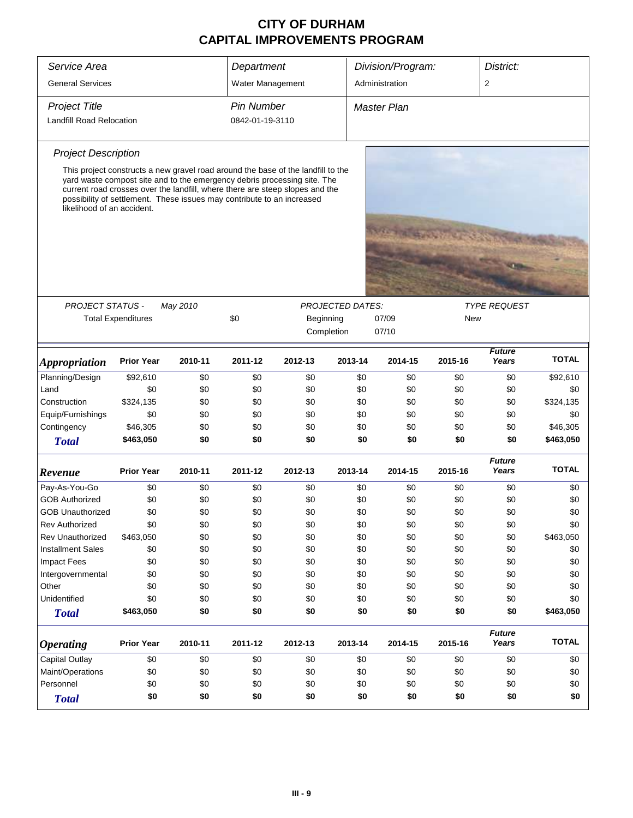| Service Area                    |                                                                                                                                                                                                                                                                                                                        |          | Department        |           |                         | Division/Program:  |            | District:              |              |  |
|---------------------------------|------------------------------------------------------------------------------------------------------------------------------------------------------------------------------------------------------------------------------------------------------------------------------------------------------------------------|----------|-------------------|-----------|-------------------------|--------------------|------------|------------------------|--------------|--|
| <b>General Services</b>         |                                                                                                                                                                                                                                                                                                                        |          | Water Management  |           |                         | Administration     |            | $\overline{2}$         |              |  |
| <b>Project Title</b>            |                                                                                                                                                                                                                                                                                                                        |          | <b>Pin Number</b> |           |                         | <b>Master Plan</b> |            |                        |              |  |
| <b>Landfill Road Relocation</b> |                                                                                                                                                                                                                                                                                                                        |          | 0842-01-19-3110   |           |                         |                    |            |                        |              |  |
| <b>Project Description</b>      |                                                                                                                                                                                                                                                                                                                        |          |                   |           |                         |                    |            |                        |              |  |
| likelihood of an accident.      | This project constructs a new gravel road around the base of the landfill to the<br>yard waste compost site and to the emergency debris processing site. The<br>current road crosses over the landfill, where there are steep slopes and the<br>possibility of settlement. These issues may contribute to an increased |          |                   |           |                         |                    |            |                        |              |  |
|                                 |                                                                                                                                                                                                                                                                                                                        |          |                   |           |                         |                    |            |                        |              |  |
| <b>PROJECT STATUS -</b>         |                                                                                                                                                                                                                                                                                                                        | May 2010 |                   |           | <b>PROJECTED DATES:</b> |                    |            | <b>TYPE REQUEST</b>    |              |  |
|                                 | <b>Total Expenditures</b>                                                                                                                                                                                                                                                                                              |          | \$0               | Beginning |                         | 07/09              | <b>New</b> |                        |              |  |
|                                 |                                                                                                                                                                                                                                                                                                                        |          |                   |           | Completion              | 07/10              |            |                        |              |  |
|                                 |                                                                                                                                                                                                                                                                                                                        |          |                   |           |                         |                    |            |                        |              |  |
| <b>Appropriation</b>            | <b>Prior Year</b>                                                                                                                                                                                                                                                                                                      | 2010-11  | 2011-12           | 2012-13   | 2013-14                 | 2014-15            | 2015-16    | <b>Future</b><br>Years | <b>TOTAL</b> |  |
| Planning/Design                 | \$92,610                                                                                                                                                                                                                                                                                                               | \$0      | \$0               | \$0       | \$0                     | \$0                | \$0        | \$0                    | \$92,610     |  |
| Land                            | \$0                                                                                                                                                                                                                                                                                                                    | \$0      | \$0               | \$0       | \$0                     | \$0                | \$0        | \$0                    | \$0          |  |
| Construction                    | \$324,135                                                                                                                                                                                                                                                                                                              | \$0      | \$0               | \$0       | \$0                     | \$0                | \$0        | \$0                    | \$324,135    |  |
| Equip/Furnishings               | \$0                                                                                                                                                                                                                                                                                                                    | \$0      | \$0               | \$0       | \$0                     | \$0                | \$0        | \$0                    | \$0          |  |
| Contingency                     | \$46,305                                                                                                                                                                                                                                                                                                               | \$0      | \$0               | \$0       | \$0                     | \$0                | \$0        | \$0                    | \$46,305     |  |
| <b>Total</b>                    | \$463,050                                                                                                                                                                                                                                                                                                              | \$0      | \$0               | \$0       | \$0                     | \$0                | \$0        | \$0                    | \$463,050    |  |
| Revenue                         | <b>Prior Year</b>                                                                                                                                                                                                                                                                                                      | 2010-11  | 2011-12           | 2012-13   | 2013-14                 | 2014-15            | 2015-16    | <b>Future</b><br>Years | <b>TOTAL</b> |  |
| Pay-As-You-Go                   | \$0                                                                                                                                                                                                                                                                                                                    | \$0      | \$0               | \$0       | \$0                     | \$0                | \$0        | \$0                    | \$0          |  |
| <b>GOB Authorized</b>           | \$0                                                                                                                                                                                                                                                                                                                    | \$0      | \$0               | \$0       | \$0                     | \$0                | \$0        | \$0                    | \$0          |  |
| <b>GOB Unauthorized</b>         | \$0                                                                                                                                                                                                                                                                                                                    | \$0      | \$0               | \$0       | \$0                     | \$0                | \$0        | \$0                    | \$0          |  |
| <b>Rev Authorized</b>           | \$0                                                                                                                                                                                                                                                                                                                    | \$0      | \$0               | \$0       | \$0                     | \$0                | \$0        | \$0                    | \$0          |  |
| <b>Rev Unauthorized</b>         | \$463,050                                                                                                                                                                                                                                                                                                              | \$0      | \$0               | \$0       | \$0                     | \$0                | \$0        | \$0                    | \$463,050    |  |
| <b>Installment Sales</b>        | \$0                                                                                                                                                                                                                                                                                                                    | \$0      | \$0               | \$0       | \$0                     | \$0                | \$0        | \$0                    | \$0          |  |
| <b>Impact Fees</b>              | \$0                                                                                                                                                                                                                                                                                                                    | \$0      | \$0               | \$0       | \$0                     | \$0                | \$0        | \$0                    | \$0          |  |
| Intergovernmental               | \$0                                                                                                                                                                                                                                                                                                                    | \$0      | \$0               | \$0       | \$0                     | \$0                | \$0        | \$0                    | \$0          |  |
| Other                           | \$0                                                                                                                                                                                                                                                                                                                    | \$0      | \$0               | \$0       | \$0                     | \$0                | \$0        | \$0                    | \$0          |  |
| Unidentified                    | \$0                                                                                                                                                                                                                                                                                                                    | \$0      | \$0               | \$0       | \$0                     | \$0                | \$0        | \$0                    | \$0          |  |
| <b>Total</b>                    | \$463,050                                                                                                                                                                                                                                                                                                              | \$0      | \$0               | \$0       | \$0                     | \$0                | \$0        | \$0                    | \$463,050    |  |
| <b>Operating</b>                | <b>Prior Year</b>                                                                                                                                                                                                                                                                                                      | 2010-11  | 2011-12           | 2012-13   | 2013-14                 | 2014-15            | 2015-16    | <b>Future</b><br>Years | <b>TOTAL</b> |  |
| <b>Capital Outlay</b>           | \$0                                                                                                                                                                                                                                                                                                                    | \$0      | \$0               | \$0       | \$0                     | \$0                | \$0        | \$0                    | \$0          |  |
| Maint/Operations                | \$0                                                                                                                                                                                                                                                                                                                    | \$0      | \$0               | \$0       | \$0                     | \$0                | \$0        | \$0                    | \$0          |  |
| Personnel                       | \$0                                                                                                                                                                                                                                                                                                                    | \$0      | \$0               | \$0       | \$0                     | \$0                | \$0        | \$0                    | \$0          |  |
| <b>Total</b>                    | \$0                                                                                                                                                                                                                                                                                                                    | \$0      | \$0               | \$0       | \$0                     | \$0                | \$0        | \$0                    | \$0          |  |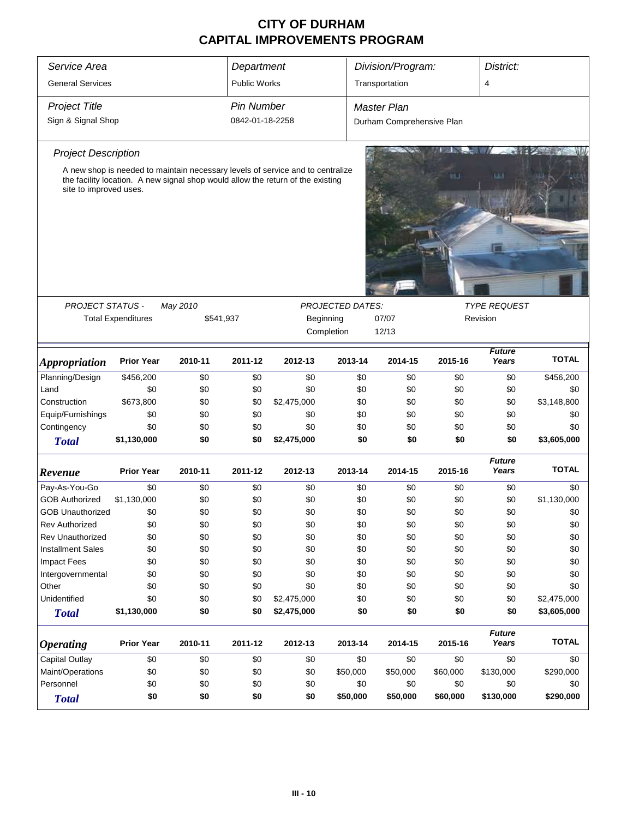| Service Area<br><b>General Services</b> | Department<br><b>Public Works</b> |           |                   | Division/Program:                                                                                                                                                 |                         | District:<br>4            |          |                        |              |
|-----------------------------------------|-----------------------------------|-----------|-------------------|-------------------------------------------------------------------------------------------------------------------------------------------------------------------|-------------------------|---------------------------|----------|------------------------|--------------|
|                                         |                                   |           |                   |                                                                                                                                                                   |                         | Transportation            |          |                        |              |
| <b>Project Title</b>                    |                                   |           | <b>Pin Number</b> |                                                                                                                                                                   |                         | <b>Master Plan</b>        |          |                        |              |
| Sign & Signal Shop                      |                                   |           | 0842-01-18-2258   |                                                                                                                                                                   |                         | Durham Comprehensive Plan |          |                        |              |
| <b>Project Description</b>              |                                   |           |                   |                                                                                                                                                                   |                         |                           |          |                        |              |
| site to improved uses.                  |                                   |           |                   | A new shop is needed to maintain necessary levels of service and to centralize<br>the facility location. A new signal shop would allow the return of the existing |                         |                           |          | ш                      |              |
|                                         |                                   |           |                   |                                                                                                                                                                   |                         |                           |          |                        |              |
| PROJECT STATUS -                        |                                   | May 2010  |                   |                                                                                                                                                                   | <b>PROJECTED DATES:</b> |                           |          | <b>TYPE REQUEST</b>    |              |
|                                         | <b>Total Expenditures</b>         | \$541,937 |                   |                                                                                                                                                                   | Beginning               | 07/07                     |          | Revision               |              |
|                                         |                                   |           |                   |                                                                                                                                                                   | Completion              | 12/13                     |          |                        |              |
| <b>Appropriation</b>                    | <b>Prior Year</b>                 | 2010-11   | 2011-12           | 2012-13                                                                                                                                                           | 2013-14                 | 2014-15                   | 2015-16  | <b>Future</b><br>Years | <b>TOTAL</b> |
| Planning/Design                         | \$456,200                         | \$0       | \$0               | \$0                                                                                                                                                               | \$0                     | \$0                       | \$0      | \$0                    | \$456,200    |
| Land                                    | \$0                               | \$0       | \$0               | \$0                                                                                                                                                               | \$0                     | \$0                       | \$0      | \$0                    | \$0          |
| Construction                            | \$673,800                         | \$0       | \$0               | \$2,475,000                                                                                                                                                       | \$0                     | \$0                       | \$0      | \$0                    | \$3,148,800  |
| Equip/Furnishings                       | \$0                               | \$0       | \$0               | \$0                                                                                                                                                               | \$0                     | \$0                       | \$0      | \$0                    | \$0          |
| Contingency                             | \$0                               | \$0       | \$0               | \$0                                                                                                                                                               | \$0                     | \$0                       | \$0      | \$0                    | \$0          |
| <b>Total</b>                            | \$1,130,000                       | \$0       | \$0               | \$2,475,000                                                                                                                                                       | \$0                     | \$0                       | \$0      | \$0                    | \$3,605,000  |
| Revenue                                 | <b>Prior Year</b>                 | 2010-11   | 2011-12           | 2012-13                                                                                                                                                           | 2013-14                 | 2014-15                   | 2015-16  | <b>Future</b><br>Years | <b>TOTAL</b> |
| Pay-As-You-Go                           | \$0                               | \$0       | \$0               | \$0                                                                                                                                                               | \$0                     | \$0                       | \$0      | \$0                    | \$0          |
| <b>GOB Authorized</b>                   | \$1,130,000                       | \$0       | \$0               | \$0                                                                                                                                                               | \$0                     | \$0                       | \$0      | \$0                    | \$1,130,000  |
| <b>GOB Unauthorized</b>                 | \$0                               | \$0       | \$0               | \$0                                                                                                                                                               | \$0                     | \$0                       | \$0      | \$0                    | \$0          |
| <b>Rev Authorized</b>                   | \$0                               | \$0       | \$0               | \$0                                                                                                                                                               | \$0                     | \$0                       | \$0      | \$0                    | \$0          |
| <b>Rev Unauthorized</b>                 | \$0                               | \$0       | \$0               | \$0                                                                                                                                                               | \$0                     | \$0                       | \$0      | \$0                    | \$0          |
| <b>Installment Sales</b>                | \$0                               | \$0       | \$0               | \$0                                                                                                                                                               | \$0                     | \$0                       | \$0      | \$0                    | \$0          |
| <b>Impact Fees</b>                      | \$0                               | \$0       | \$0               | \$0                                                                                                                                                               | \$0                     | \$0                       | \$0      | \$0                    | \$0          |
| Intergovernmental                       | \$0                               | \$0       | \$0               | \$0                                                                                                                                                               | \$0                     | \$0                       | \$0      | \$0                    | \$0          |
| Other                                   | \$0                               | \$0       | \$0               | \$0                                                                                                                                                               | \$0                     | \$0                       | \$0      | \$0                    | \$0          |
| Unidentified                            | \$0                               | \$0       | \$0               | \$2,475,000                                                                                                                                                       | \$0                     | \$0                       | \$0      | \$0                    | \$2,475,000  |
| <b>Total</b>                            | \$1,130,000                       | \$0       | \$0               | \$2,475,000                                                                                                                                                       | \$0                     | \$0                       | \$0      | \$0                    | \$3,605,000  |
| <b>Operating</b>                        | <b>Prior Year</b>                 | 2010-11   | 2011-12           | 2012-13                                                                                                                                                           | 2013-14                 | 2014-15                   | 2015-16  | <b>Future</b><br>Years | <b>TOTAL</b> |
| <b>Capital Outlay</b>                   | \$0                               | \$0       | \$0               | \$0                                                                                                                                                               | \$0                     | \$0                       | \$0      | \$0                    | \$0          |
| Maint/Operations                        | \$0                               | \$0       | \$0               | \$0                                                                                                                                                               | \$50,000                | \$50,000                  | \$60,000 | \$130,000              | \$290,000    |
| Personnel                               | \$0                               | \$0       | \$0               | \$0                                                                                                                                                               | \$0                     | \$0                       | \$0      | \$0                    | \$0          |
| <b>Total</b>                            | \$0                               | \$0       | \$0               | \$0                                                                                                                                                               | \$50,000                | \$50,000                  | \$60,000 | \$130,000              | \$290,000    |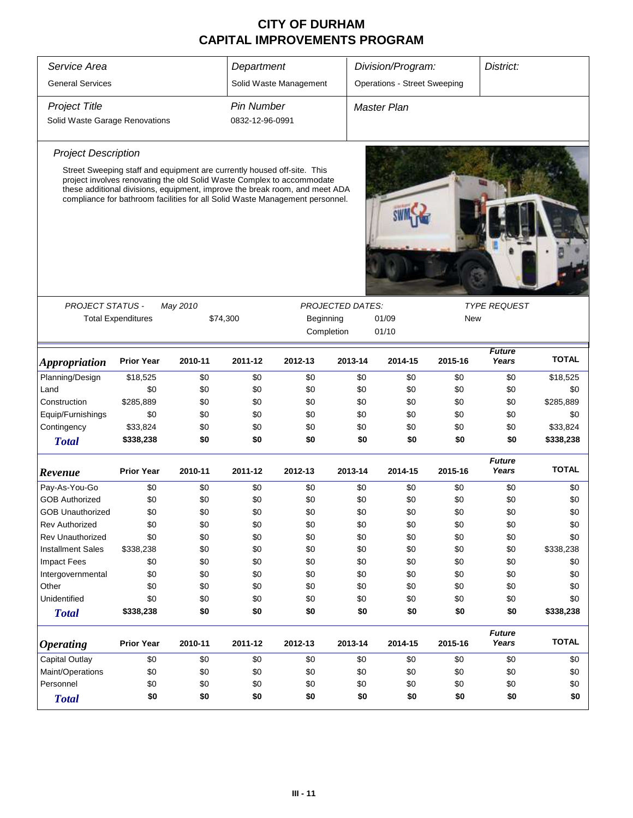| District:<br>Service Area<br>Department<br>Division/Program:<br><b>Operations - Street Sweeping</b><br><b>General Services</b><br>Solid Waste Management<br><b>Project Title</b><br><b>Pin Number</b><br><b>Master Plan</b><br>0832-12-96-0991<br>Solid Waste Garage Renovations<br><b>Project Description</b><br>Street Sweeping staff and equipment are currently housed off-site. This<br>project involves renovating the old Solid Waste Complex to accommodate<br>these additional divisions, equipment, improve the break room, and meet ADA<br>compliance for bathroom facilities for all Solid Waste Management personnel.<br><b>PROJECT STATUS -</b><br>May 2010<br><b>PROJECTED DATES:</b><br><b>TYPE REQUEST</b><br><b>Total Expenditures</b><br>Beginning<br>01/09<br>New<br>\$74,300<br>01/10<br>Completion<br><b>Future</b><br><b>TOTAL</b><br>Years<br><b>Prior Year</b><br>2011-12<br>2012-13<br>2013-14<br>2014-15<br>2015-16<br>2010-11<br>Planning/Design<br>\$18,525<br>\$18,525<br>\$0<br>\$0<br>\$0<br>\$0<br>\$0<br>\$0<br>\$0<br>Land<br>\$0<br>\$0<br>\$0<br>\$0<br>\$0<br>\$0<br>\$0<br>\$0<br>\$0<br>\$285,889<br>Construction<br>\$285,889<br>\$0<br>\$0<br>\$0<br>\$0<br>\$0<br>\$0<br>\$0<br>Equip/Furnishings<br>\$0<br>\$0<br>\$0<br>\$0<br>\$0<br>\$0<br>\$0<br>\$0<br>\$0<br>Contingency<br>\$33,824<br>\$0<br>\$0<br>\$0<br>\$0<br>\$0<br>\$0<br>\$0<br>\$33,824<br>\$338,238<br>\$0<br>\$0<br>\$0<br>\$0<br>\$0<br>\$0<br>\$0<br>\$338,238<br><b>Total</b><br><b>Future</b><br><b>TOTAL</b><br><b>Prior Year</b><br>Years<br>2010-11<br>2011-12<br>2012-13<br>2013-14<br>2015-16<br>2014-15<br>Pay-As-You-Go<br>\$0<br>\$0<br>\$0<br>\$0<br>\$0<br>\$0<br>\$0<br>\$0<br>\$0<br><b>GOB Authorized</b><br>\$0<br>\$0<br>\$0<br>\$0<br>\$0<br>\$0<br>\$0<br>\$0<br>\$0<br>\$0<br>\$0<br>\$0<br>\$0<br>\$0<br>\$0<br>\$0<br>\$0<br>\$0<br><b>GOB Unauthorized</b><br>\$0<br>\$0<br>\$0<br>\$0<br>\$0<br>\$0<br>\$0<br>\$0<br>\$0<br>Rev Authorized<br>Rev Unauthorized<br>\$0<br>\$0<br>\$0<br>\$0<br>\$0<br>\$0<br>\$0<br>\$0<br>\$0<br>\$0<br>\$0<br>\$338,238<br><b>Installment Sales</b><br>\$338,238<br>\$0<br>\$0<br>\$0<br>\$0<br>\$0<br><b>Impact Fees</b><br>\$0<br>\$0<br>\$0<br>\$0<br>\$0<br>\$0<br>\$0<br>\$0<br>\$0<br>\$0<br>\$0<br>\$0<br>\$0<br>\$0<br>\$0<br>\$0<br>\$0<br>\$0<br>Intergovernmental<br>Other<br>\$0<br>\$0<br>\$0<br>\$0<br>\$0<br>\$0<br>\$0<br>\$0<br>\$0<br>Unidentified<br>\$0<br>\$0<br>\$0<br>\$0<br>\$0<br>\$0<br>\$0<br>\$0<br>\$0<br>\$0<br>\$0<br>\$0<br>\$0<br>\$0<br>\$0<br>\$0<br>\$338,238<br>\$338,238<br><b>Total</b><br><b>Future</b><br><b>TOTAL</b><br><b>Prior Year</b><br>2013-14<br>2015-16<br>Years<br>2010-11<br>2011-12<br>2012-13<br>2014-15<br>Capital Outlay<br>\$0<br>\$0<br>\$0<br>\$0<br>\$0<br>\$0<br>\$0<br>\$0<br>\$0<br>Maint/Operations<br>\$0<br>\$0<br>\$0<br>\$0<br>\$0<br>\$0<br>\$0<br>\$0<br>\$0<br>Personnel<br>\$0<br>\$0<br>\$0<br>\$0<br>\$0<br>\$0<br>\$0<br>\$0<br>\$0<br>\$0<br>\$0<br>\$0<br>\$0<br>\$0<br>\$0<br>\$0<br>\$0<br>\$0<br><b>Total</b> |                             |  |  |  |  |  |  |  |  |
|-------------------------------------------------------------------------------------------------------------------------------------------------------------------------------------------------------------------------------------------------------------------------------------------------------------------------------------------------------------------------------------------------------------------------------------------------------------------------------------------------------------------------------------------------------------------------------------------------------------------------------------------------------------------------------------------------------------------------------------------------------------------------------------------------------------------------------------------------------------------------------------------------------------------------------------------------------------------------------------------------------------------------------------------------------------------------------------------------------------------------------------------------------------------------------------------------------------------------------------------------------------------------------------------------------------------------------------------------------------------------------------------------------------------------------------------------------------------------------------------------------------------------------------------------------------------------------------------------------------------------------------------------------------------------------------------------------------------------------------------------------------------------------------------------------------------------------------------------------------------------------------------------------------------------------------------------------------------------------------------------------------------------------------------------------------------------------------------------------------------------------------------------------------------------------------------------------------------------------------------------------------------------------------------------------------------------------------------------------------------------------------------------------------------------------------------------------------------------------------------------------------------------------------------------------------------------------------------------------------------------------------------------------------------------------------------------------------------------------------------------------------------------------------------------------------------------------------------------------------------------------------------------------------------------------------------------------------------------------------------------------------------------------------------------------------------------|-----------------------------|--|--|--|--|--|--|--|--|
|                                                                                                                                                                                                                                                                                                                                                                                                                                                                                                                                                                                                                                                                                                                                                                                                                                                                                                                                                                                                                                                                                                                                                                                                                                                                                                                                                                                                                                                                                                                                                                                                                                                                                                                                                                                                                                                                                                                                                                                                                                                                                                                                                                                                                                                                                                                                                                                                                                                                                                                                                                                                                                                                                                                                                                                                                                                                                                                                                                                                                                                                         |                             |  |  |  |  |  |  |  |  |
|                                                                                                                                                                                                                                                                                                                                                                                                                                                                                                                                                                                                                                                                                                                                                                                                                                                                                                                                                                                                                                                                                                                                                                                                                                                                                                                                                                                                                                                                                                                                                                                                                                                                                                                                                                                                                                                                                                                                                                                                                                                                                                                                                                                                                                                                                                                                                                                                                                                                                                                                                                                                                                                                                                                                                                                                                                                                                                                                                                                                                                                                         |                             |  |  |  |  |  |  |  |  |
|                                                                                                                                                                                                                                                                                                                                                                                                                                                                                                                                                                                                                                                                                                                                                                                                                                                                                                                                                                                                                                                                                                                                                                                                                                                                                                                                                                                                                                                                                                                                                                                                                                                                                                                                                                                                                                                                                                                                                                                                                                                                                                                                                                                                                                                                                                                                                                                                                                                                                                                                                                                                                                                                                                                                                                                                                                                                                                                                                                                                                                                                         |                             |  |  |  |  |  |  |  |  |
|                                                                                                                                                                                                                                                                                                                                                                                                                                                                                                                                                                                                                                                                                                                                                                                                                                                                                                                                                                                                                                                                                                                                                                                                                                                                                                                                                                                                                                                                                                                                                                                                                                                                                                                                                                                                                                                                                                                                                                                                                                                                                                                                                                                                                                                                                                                                                                                                                                                                                                                                                                                                                                                                                                                                                                                                                                                                                                                                                                                                                                                                         |                             |  |  |  |  |  |  |  |  |
|                                                                                                                                                                                                                                                                                                                                                                                                                                                                                                                                                                                                                                                                                                                                                                                                                                                                                                                                                                                                                                                                                                                                                                                                                                                                                                                                                                                                                                                                                                                                                                                                                                                                                                                                                                                                                                                                                                                                                                                                                                                                                                                                                                                                                                                                                                                                                                                                                                                                                                                                                                                                                                                                                                                                                                                                                                                                                                                                                                                                                                                                         |                             |  |  |  |  |  |  |  |  |
|                                                                                                                                                                                                                                                                                                                                                                                                                                                                                                                                                                                                                                                                                                                                                                                                                                                                                                                                                                                                                                                                                                                                                                                                                                                                                                                                                                                                                                                                                                                                                                                                                                                                                                                                                                                                                                                                                                                                                                                                                                                                                                                                                                                                                                                                                                                                                                                                                                                                                                                                                                                                                                                                                                                                                                                                                                                                                                                                                                                                                                                                         |                             |  |  |  |  |  |  |  |  |
|                                                                                                                                                                                                                                                                                                                                                                                                                                                                                                                                                                                                                                                                                                                                                                                                                                                                                                                                                                                                                                                                                                                                                                                                                                                                                                                                                                                                                                                                                                                                                                                                                                                                                                                                                                                                                                                                                                                                                                                                                                                                                                                                                                                                                                                                                                                                                                                                                                                                                                                                                                                                                                                                                                                                                                                                                                                                                                                                                                                                                                                                         |                             |  |  |  |  |  |  |  |  |
|                                                                                                                                                                                                                                                                                                                                                                                                                                                                                                                                                                                                                                                                                                                                                                                                                                                                                                                                                                                                                                                                                                                                                                                                                                                                                                                                                                                                                                                                                                                                                                                                                                                                                                                                                                                                                                                                                                                                                                                                                                                                                                                                                                                                                                                                                                                                                                                                                                                                                                                                                                                                                                                                                                                                                                                                                                                                                                                                                                                                                                                                         |                             |  |  |  |  |  |  |  |  |
|                                                                                                                                                                                                                                                                                                                                                                                                                                                                                                                                                                                                                                                                                                                                                                                                                                                                                                                                                                                                                                                                                                                                                                                                                                                                                                                                                                                                                                                                                                                                                                                                                                                                                                                                                                                                                                                                                                                                                                                                                                                                                                                                                                                                                                                                                                                                                                                                                                                                                                                                                                                                                                                                                                                                                                                                                                                                                                                                                                                                                                                                         |                             |  |  |  |  |  |  |  |  |
|                                                                                                                                                                                                                                                                                                                                                                                                                                                                                                                                                                                                                                                                                                                                                                                                                                                                                                                                                                                                                                                                                                                                                                                                                                                                                                                                                                                                                                                                                                                                                                                                                                                                                                                                                                                                                                                                                                                                                                                                                                                                                                                                                                                                                                                                                                                                                                                                                                                                                                                                                                                                                                                                                                                                                                                                                                                                                                                                                                                                                                                                         |                             |  |  |  |  |  |  |  |  |
|                                                                                                                                                                                                                                                                                                                                                                                                                                                                                                                                                                                                                                                                                                                                                                                                                                                                                                                                                                                                                                                                                                                                                                                                                                                                                                                                                                                                                                                                                                                                                                                                                                                                                                                                                                                                                                                                                                                                                                                                                                                                                                                                                                                                                                                                                                                                                                                                                                                                                                                                                                                                                                                                                                                                                                                                                                                                                                                                                                                                                                                                         |                             |  |  |  |  |  |  |  |  |
|                                                                                                                                                                                                                                                                                                                                                                                                                                                                                                                                                                                                                                                                                                                                                                                                                                                                                                                                                                                                                                                                                                                                                                                                                                                                                                                                                                                                                                                                                                                                                                                                                                                                                                                                                                                                                                                                                                                                                                                                                                                                                                                                                                                                                                                                                                                                                                                                                                                                                                                                                                                                                                                                                                                                                                                                                                                                                                                                                                                                                                                                         | <i><b>Appropriation</b></i> |  |  |  |  |  |  |  |  |
|                                                                                                                                                                                                                                                                                                                                                                                                                                                                                                                                                                                                                                                                                                                                                                                                                                                                                                                                                                                                                                                                                                                                                                                                                                                                                                                                                                                                                                                                                                                                                                                                                                                                                                                                                                                                                                                                                                                                                                                                                                                                                                                                                                                                                                                                                                                                                                                                                                                                                                                                                                                                                                                                                                                                                                                                                                                                                                                                                                                                                                                                         |                             |  |  |  |  |  |  |  |  |
|                                                                                                                                                                                                                                                                                                                                                                                                                                                                                                                                                                                                                                                                                                                                                                                                                                                                                                                                                                                                                                                                                                                                                                                                                                                                                                                                                                                                                                                                                                                                                                                                                                                                                                                                                                                                                                                                                                                                                                                                                                                                                                                                                                                                                                                                                                                                                                                                                                                                                                                                                                                                                                                                                                                                                                                                                                                                                                                                                                                                                                                                         |                             |  |  |  |  |  |  |  |  |
|                                                                                                                                                                                                                                                                                                                                                                                                                                                                                                                                                                                                                                                                                                                                                                                                                                                                                                                                                                                                                                                                                                                                                                                                                                                                                                                                                                                                                                                                                                                                                                                                                                                                                                                                                                                                                                                                                                                                                                                                                                                                                                                                                                                                                                                                                                                                                                                                                                                                                                                                                                                                                                                                                                                                                                                                                                                                                                                                                                                                                                                                         |                             |  |  |  |  |  |  |  |  |
|                                                                                                                                                                                                                                                                                                                                                                                                                                                                                                                                                                                                                                                                                                                                                                                                                                                                                                                                                                                                                                                                                                                                                                                                                                                                                                                                                                                                                                                                                                                                                                                                                                                                                                                                                                                                                                                                                                                                                                                                                                                                                                                                                                                                                                                                                                                                                                                                                                                                                                                                                                                                                                                                                                                                                                                                                                                                                                                                                                                                                                                                         |                             |  |  |  |  |  |  |  |  |
|                                                                                                                                                                                                                                                                                                                                                                                                                                                                                                                                                                                                                                                                                                                                                                                                                                                                                                                                                                                                                                                                                                                                                                                                                                                                                                                                                                                                                                                                                                                                                                                                                                                                                                                                                                                                                                                                                                                                                                                                                                                                                                                                                                                                                                                                                                                                                                                                                                                                                                                                                                                                                                                                                                                                                                                                                                                                                                                                                                                                                                                                         |                             |  |  |  |  |  |  |  |  |
|                                                                                                                                                                                                                                                                                                                                                                                                                                                                                                                                                                                                                                                                                                                                                                                                                                                                                                                                                                                                                                                                                                                                                                                                                                                                                                                                                                                                                                                                                                                                                                                                                                                                                                                                                                                                                                                                                                                                                                                                                                                                                                                                                                                                                                                                                                                                                                                                                                                                                                                                                                                                                                                                                                                                                                                                                                                                                                                                                                                                                                                                         |                             |  |  |  |  |  |  |  |  |
|                                                                                                                                                                                                                                                                                                                                                                                                                                                                                                                                                                                                                                                                                                                                                                                                                                                                                                                                                                                                                                                                                                                                                                                                                                                                                                                                                                                                                                                                                                                                                                                                                                                                                                                                                                                                                                                                                                                                                                                                                                                                                                                                                                                                                                                                                                                                                                                                                                                                                                                                                                                                                                                                                                                                                                                                                                                                                                                                                                                                                                                                         | Revenue                     |  |  |  |  |  |  |  |  |
|                                                                                                                                                                                                                                                                                                                                                                                                                                                                                                                                                                                                                                                                                                                                                                                                                                                                                                                                                                                                                                                                                                                                                                                                                                                                                                                                                                                                                                                                                                                                                                                                                                                                                                                                                                                                                                                                                                                                                                                                                                                                                                                                                                                                                                                                                                                                                                                                                                                                                                                                                                                                                                                                                                                                                                                                                                                                                                                                                                                                                                                                         |                             |  |  |  |  |  |  |  |  |
|                                                                                                                                                                                                                                                                                                                                                                                                                                                                                                                                                                                                                                                                                                                                                                                                                                                                                                                                                                                                                                                                                                                                                                                                                                                                                                                                                                                                                                                                                                                                                                                                                                                                                                                                                                                                                                                                                                                                                                                                                                                                                                                                                                                                                                                                                                                                                                                                                                                                                                                                                                                                                                                                                                                                                                                                                                                                                                                                                                                                                                                                         |                             |  |  |  |  |  |  |  |  |
|                                                                                                                                                                                                                                                                                                                                                                                                                                                                                                                                                                                                                                                                                                                                                                                                                                                                                                                                                                                                                                                                                                                                                                                                                                                                                                                                                                                                                                                                                                                                                                                                                                                                                                                                                                                                                                                                                                                                                                                                                                                                                                                                                                                                                                                                                                                                                                                                                                                                                                                                                                                                                                                                                                                                                                                                                                                                                                                                                                                                                                                                         |                             |  |  |  |  |  |  |  |  |
|                                                                                                                                                                                                                                                                                                                                                                                                                                                                                                                                                                                                                                                                                                                                                                                                                                                                                                                                                                                                                                                                                                                                                                                                                                                                                                                                                                                                                                                                                                                                                                                                                                                                                                                                                                                                                                                                                                                                                                                                                                                                                                                                                                                                                                                                                                                                                                                                                                                                                                                                                                                                                                                                                                                                                                                                                                                                                                                                                                                                                                                                         |                             |  |  |  |  |  |  |  |  |
|                                                                                                                                                                                                                                                                                                                                                                                                                                                                                                                                                                                                                                                                                                                                                                                                                                                                                                                                                                                                                                                                                                                                                                                                                                                                                                                                                                                                                                                                                                                                                                                                                                                                                                                                                                                                                                                                                                                                                                                                                                                                                                                                                                                                                                                                                                                                                                                                                                                                                                                                                                                                                                                                                                                                                                                                                                                                                                                                                                                                                                                                         |                             |  |  |  |  |  |  |  |  |
|                                                                                                                                                                                                                                                                                                                                                                                                                                                                                                                                                                                                                                                                                                                                                                                                                                                                                                                                                                                                                                                                                                                                                                                                                                                                                                                                                                                                                                                                                                                                                                                                                                                                                                                                                                                                                                                                                                                                                                                                                                                                                                                                                                                                                                                                                                                                                                                                                                                                                                                                                                                                                                                                                                                                                                                                                                                                                                                                                                                                                                                                         |                             |  |  |  |  |  |  |  |  |
|                                                                                                                                                                                                                                                                                                                                                                                                                                                                                                                                                                                                                                                                                                                                                                                                                                                                                                                                                                                                                                                                                                                                                                                                                                                                                                                                                                                                                                                                                                                                                                                                                                                                                                                                                                                                                                                                                                                                                                                                                                                                                                                                                                                                                                                                                                                                                                                                                                                                                                                                                                                                                                                                                                                                                                                                                                                                                                                                                                                                                                                                         |                             |  |  |  |  |  |  |  |  |
|                                                                                                                                                                                                                                                                                                                                                                                                                                                                                                                                                                                                                                                                                                                                                                                                                                                                                                                                                                                                                                                                                                                                                                                                                                                                                                                                                                                                                                                                                                                                                                                                                                                                                                                                                                                                                                                                                                                                                                                                                                                                                                                                                                                                                                                                                                                                                                                                                                                                                                                                                                                                                                                                                                                                                                                                                                                                                                                                                                                                                                                                         |                             |  |  |  |  |  |  |  |  |
|                                                                                                                                                                                                                                                                                                                                                                                                                                                                                                                                                                                                                                                                                                                                                                                                                                                                                                                                                                                                                                                                                                                                                                                                                                                                                                                                                                                                                                                                                                                                                                                                                                                                                                                                                                                                                                                                                                                                                                                                                                                                                                                                                                                                                                                                                                                                                                                                                                                                                                                                                                                                                                                                                                                                                                                                                                                                                                                                                                                                                                                                         |                             |  |  |  |  |  |  |  |  |
|                                                                                                                                                                                                                                                                                                                                                                                                                                                                                                                                                                                                                                                                                                                                                                                                                                                                                                                                                                                                                                                                                                                                                                                                                                                                                                                                                                                                                                                                                                                                                                                                                                                                                                                                                                                                                                                                                                                                                                                                                                                                                                                                                                                                                                                                                                                                                                                                                                                                                                                                                                                                                                                                                                                                                                                                                                                                                                                                                                                                                                                                         |                             |  |  |  |  |  |  |  |  |
|                                                                                                                                                                                                                                                                                                                                                                                                                                                                                                                                                                                                                                                                                                                                                                                                                                                                                                                                                                                                                                                                                                                                                                                                                                                                                                                                                                                                                                                                                                                                                                                                                                                                                                                                                                                                                                                                                                                                                                                                                                                                                                                                                                                                                                                                                                                                                                                                                                                                                                                                                                                                                                                                                                                                                                                                                                                                                                                                                                                                                                                                         |                             |  |  |  |  |  |  |  |  |
|                                                                                                                                                                                                                                                                                                                                                                                                                                                                                                                                                                                                                                                                                                                                                                                                                                                                                                                                                                                                                                                                                                                                                                                                                                                                                                                                                                                                                                                                                                                                                                                                                                                                                                                                                                                                                                                                                                                                                                                                                                                                                                                                                                                                                                                                                                                                                                                                                                                                                                                                                                                                                                                                                                                                                                                                                                                                                                                                                                                                                                                                         | <b>Operating</b>            |  |  |  |  |  |  |  |  |
|                                                                                                                                                                                                                                                                                                                                                                                                                                                                                                                                                                                                                                                                                                                                                                                                                                                                                                                                                                                                                                                                                                                                                                                                                                                                                                                                                                                                                                                                                                                                                                                                                                                                                                                                                                                                                                                                                                                                                                                                                                                                                                                                                                                                                                                                                                                                                                                                                                                                                                                                                                                                                                                                                                                                                                                                                                                                                                                                                                                                                                                                         |                             |  |  |  |  |  |  |  |  |
|                                                                                                                                                                                                                                                                                                                                                                                                                                                                                                                                                                                                                                                                                                                                                                                                                                                                                                                                                                                                                                                                                                                                                                                                                                                                                                                                                                                                                                                                                                                                                                                                                                                                                                                                                                                                                                                                                                                                                                                                                                                                                                                                                                                                                                                                                                                                                                                                                                                                                                                                                                                                                                                                                                                                                                                                                                                                                                                                                                                                                                                                         |                             |  |  |  |  |  |  |  |  |
|                                                                                                                                                                                                                                                                                                                                                                                                                                                                                                                                                                                                                                                                                                                                                                                                                                                                                                                                                                                                                                                                                                                                                                                                                                                                                                                                                                                                                                                                                                                                                                                                                                                                                                                                                                                                                                                                                                                                                                                                                                                                                                                                                                                                                                                                                                                                                                                                                                                                                                                                                                                                                                                                                                                                                                                                                                                                                                                                                                                                                                                                         |                             |  |  |  |  |  |  |  |  |
|                                                                                                                                                                                                                                                                                                                                                                                                                                                                                                                                                                                                                                                                                                                                                                                                                                                                                                                                                                                                                                                                                                                                                                                                                                                                                                                                                                                                                                                                                                                                                                                                                                                                                                                                                                                                                                                                                                                                                                                                                                                                                                                                                                                                                                                                                                                                                                                                                                                                                                                                                                                                                                                                                                                                                                                                                                                                                                                                                                                                                                                                         |                             |  |  |  |  |  |  |  |  |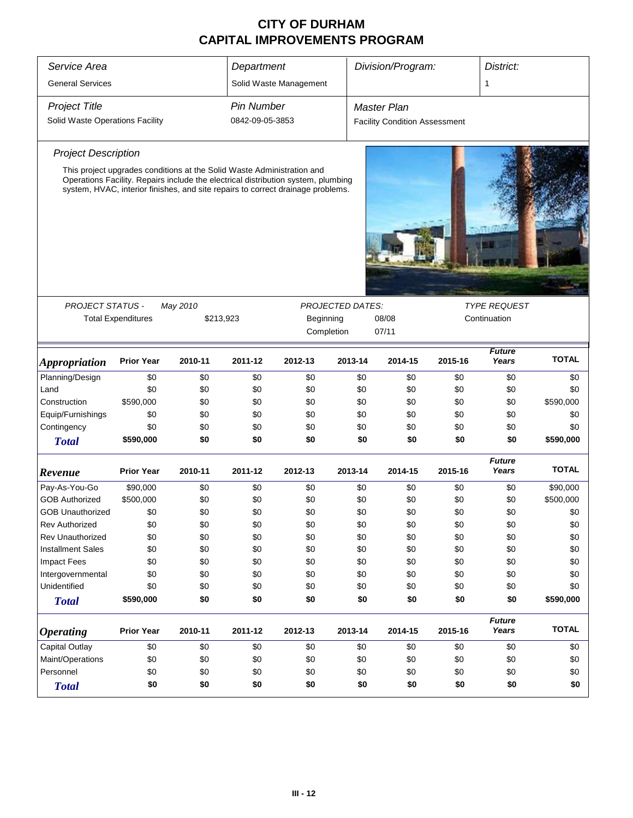| Service Area                           |                   |                                                                        | Department        |                                                                                                                                                                      |                         | Division/Program:  |         |                        | District:    |  |
|----------------------------------------|-------------------|------------------------------------------------------------------------|-------------------|----------------------------------------------------------------------------------------------------------------------------------------------------------------------|-------------------------|--------------------|---------|------------------------|--------------|--|
| <b>General Services</b>                |                   |                                                                        |                   | Solid Waste Management                                                                                                                                               |                         |                    |         | 1                      |              |  |
| <b>Project Title</b>                   |                   |                                                                        | <b>Pin Number</b> |                                                                                                                                                                      |                         | <b>Master Plan</b> |         |                        |              |  |
| Solid Waste Operations Facility        | 0842-09-05-3853   |                                                                        |                   | <b>Facility Condition Assessment</b>                                                                                                                                 |                         |                    |         |                        |              |  |
| <b>Project Description</b>             |                   |                                                                        |                   |                                                                                                                                                                      |                         |                    |         |                        |              |  |
|                                        |                   | This project upgrades conditions at the Solid Waste Administration and |                   |                                                                                                                                                                      |                         |                    |         |                        |              |  |
|                                        |                   |                                                                        |                   | Operations Facility. Repairs include the electrical distribution system, plumbing<br>system, HVAC, interior finishes, and site repairs to correct drainage problems. |                         |                    |         |                        |              |  |
|                                        |                   |                                                                        |                   |                                                                                                                                                                      |                         |                    |         |                        |              |  |
| <b>PROJECT STATUS -</b><br>May 2010    |                   |                                                                        |                   |                                                                                                                                                                      | <b>PROJECTED DATES:</b> |                    |         | <b>TYPE REQUEST</b>    |              |  |
| <b>Total Expenditures</b><br>\$213,923 |                   |                                                                        |                   | Beginning                                                                                                                                                            |                         | 08/08              |         | Continuation           |              |  |
|                                        |                   |                                                                        |                   | Completion                                                                                                                                                           |                         | 07/11              |         |                        |              |  |
| <b>Appropriation</b>                   | <b>Prior Year</b> | 2010-11                                                                | 2011-12           | 2012-13                                                                                                                                                              | 2013-14                 | 2014-15            | 2015-16 | <b>Future</b><br>Years | <b>TOTAL</b> |  |
| Planning/Design                        | \$0               | \$0                                                                    | \$0               | \$0                                                                                                                                                                  | \$0                     | \$0                | \$0     | \$0                    | \$0          |  |
| Land                                   | \$0               | \$0                                                                    | \$0               | \$0                                                                                                                                                                  | \$0                     | \$0                | \$0     | \$0                    | \$0          |  |
| Construction                           | \$590,000         | \$0                                                                    | \$0               | \$0                                                                                                                                                                  | \$0                     | \$0                | \$0     | \$0                    | \$590,000    |  |
| Equip/Furnishings                      | \$0               | \$0                                                                    | \$0               | \$0                                                                                                                                                                  | \$0                     | \$0                | \$0     | \$0                    | \$0          |  |
| Contingency                            | \$0               | \$0                                                                    | \$0               | \$0                                                                                                                                                                  | \$0                     | \$0                | \$0     | \$0                    | \$0          |  |
| <b>Total</b>                           | \$590,000         | \$0                                                                    | \$0               | \$0                                                                                                                                                                  | \$0                     | \$0                | \$0     | \$0                    | \$590,000    |  |
| Revenue                                | <b>Prior Year</b> | 2010-11                                                                | 2011-12           | 2012-13                                                                                                                                                              | 2013-14                 | 2014-15            | 2015-16 | <b>Future</b><br>Years | <b>TOTAL</b> |  |
| Pay-As-You-Go                          | \$90,000          | \$0                                                                    | \$0               | \$0                                                                                                                                                                  | \$0                     | \$0                | \$0     | \$0                    | \$90,000     |  |
| <b>GOB Authorized</b>                  | \$500,000         | \$0                                                                    | \$0               | \$0                                                                                                                                                                  | \$0                     | \$0                | \$0     | \$0                    | \$500,000    |  |
| <b>GOB Unauthorized</b>                | \$0               | \$0                                                                    | \$0               | \$0                                                                                                                                                                  | \$0                     | \$0                | \$0     | \$0                    | \$0          |  |
| <b>Rev Authorized</b>                  | \$0               | \$0                                                                    | \$0               | \$0                                                                                                                                                                  | \$0                     | \$0                | \$0     | \$0                    | \$0          |  |
| Rev Unauthorized                       | \$0               | \$0                                                                    | \$0               | \$0                                                                                                                                                                  | \$0                     | \$0                | \$0     | \$0                    | \$0          |  |
| <b>Installment Sales</b>               | \$0               | \$0                                                                    | \$0               | \$0                                                                                                                                                                  | \$0                     | \$0                | \$0     | \$0                    | \$0          |  |
| <b>Impact Fees</b>                     | \$0               | \$0                                                                    | \$0               | \$0                                                                                                                                                                  | \$0                     | \$0                | \$0     | \$0                    | \$0          |  |
| Intergovernmental                      | \$0               | \$0                                                                    | \$0               | \$0                                                                                                                                                                  | \$0                     | \$0                | \$0     | \$0                    | \$0          |  |
| Unidentified                           | \$0               | \$0                                                                    | \$0               | \$0                                                                                                                                                                  | \$0                     | \$0                | \$0     | \$0                    | \$0          |  |
| <b>Total</b>                           | \$590,000         | \$0                                                                    | \$0               | \$0                                                                                                                                                                  | \$0                     | \$0                | \$0     | \$0                    | \$590,000    |  |
| <b>Operating</b>                       | <b>Prior Year</b> | 2010-11                                                                | 2011-12           | 2012-13                                                                                                                                                              | 2013-14                 | 2014-15            | 2015-16 | <b>Future</b><br>Years | <b>TOTAL</b> |  |
| Capital Outlay                         | \$0               | \$0                                                                    | \$0               | \$0                                                                                                                                                                  | \$0                     | \$0                | \$0     | \$0                    | \$0          |  |
| Maint/Operations                       | \$0               | \$0                                                                    | \$0               | \$0                                                                                                                                                                  | \$0                     | \$0                | \$0     | \$0                    | \$0          |  |
| Personnel                              | \$0               | \$0                                                                    | \$0               | \$0                                                                                                                                                                  | \$0                     | \$0                | \$0     | \$0                    | \$0          |  |
| <b>Total</b>                           | \$0               | \$0                                                                    | \$0               | \$0                                                                                                                                                                  | \$0                     | \$0                | \$0     | \$0                    | \$0          |  |